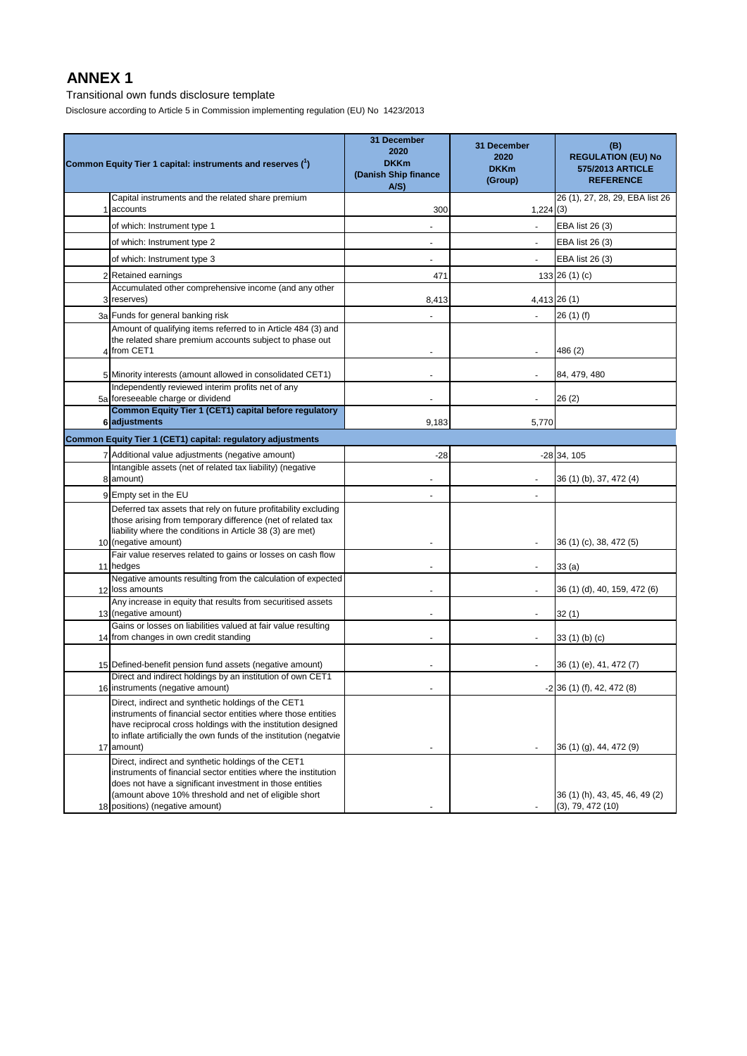Transitional own funds disclosure template

Disclosure according to Article 5 in Commission implementing regulation (EU) No 1423/2013

|    |                                                                                                                                                                                                                                                                       | 31 December                                        |                                               |                                                                          |
|----|-----------------------------------------------------------------------------------------------------------------------------------------------------------------------------------------------------------------------------------------------------------------------|----------------------------------------------------|-----------------------------------------------|--------------------------------------------------------------------------|
|    | Common Equity Tier 1 capital: instruments and reserves (1)                                                                                                                                                                                                            | 2020<br><b>DKKm</b><br>(Danish Ship finance<br>A/S | 31 December<br>2020<br><b>DKKm</b><br>(Group) | (B)<br><b>REGULATION (EU) No</b><br>575/2013 ARTICLE<br><b>REFERENCE</b> |
|    | Capital instruments and the related share premium<br>accounts                                                                                                                                                                                                         | 300                                                | 1,224(3)                                      | 26 (1), 27, 28, 29, EBA list 26                                          |
|    | of which: Instrument type 1                                                                                                                                                                                                                                           |                                                    |                                               | EBA list 26 (3)                                                          |
|    | of which: Instrument type 2                                                                                                                                                                                                                                           |                                                    |                                               | EBA list 26 (3)                                                          |
|    | of which: Instrument type 3                                                                                                                                                                                                                                           | $\blacksquare$                                     | $\overline{\phantom{a}}$                      | EBA list 26 (3)                                                          |
| 2  | Retained earnings                                                                                                                                                                                                                                                     | 471                                                |                                               | 133 26 $(1)(c)$                                                          |
|    | Accumulated other comprehensive income (and any other<br>3 reserves)                                                                                                                                                                                                  | 8,413                                              |                                               | 4,413 26 (1)                                                             |
|    | 3a Funds for general banking risk                                                                                                                                                                                                                                     |                                                    |                                               | 26 (1) (f)                                                               |
|    | Amount of qualifying items referred to in Article 484 (3) and<br>the related share premium accounts subject to phase out<br>4 from CET1                                                                                                                               |                                                    |                                               | 486 (2)                                                                  |
|    | 5 Minority interests (amount allowed in consolidated CET1)                                                                                                                                                                                                            |                                                    |                                               | 84, 479, 480                                                             |
|    | Independently reviewed interim profits net of any<br>5a foreseeable charge or dividend                                                                                                                                                                                |                                                    |                                               | 26(2)                                                                    |
|    | Common Equity Tier 1 (CET1) capital before regulatory<br>6 adjustments                                                                                                                                                                                                | 9,183                                              | 5,770                                         |                                                                          |
|    | Common Equity Tier 1 (CET1) capital: regulatory adjustments                                                                                                                                                                                                           |                                                    |                                               |                                                                          |
|    | 7 Additional value adjustments (negative amount)                                                                                                                                                                                                                      | -28                                                |                                               | $-28$ 34, 105                                                            |
|    | Intangible assets (net of related tax liability) (negative<br>8 amount)                                                                                                                                                                                               |                                                    |                                               | 36 (1) (b), 37, 472 (4)                                                  |
|    | 9 Empty set in the EU                                                                                                                                                                                                                                                 |                                                    |                                               |                                                                          |
|    | Deferred tax assets that rely on future profitability excluding<br>those arising from temporary difference (net of related tax<br>liability where the conditions in Article 38 (3) are met)<br>10 (negative amount)                                                   |                                                    |                                               | 36 (1) (c), 38, 472 (5)                                                  |
|    | Fair value reserves related to gains or losses on cash flow<br>11 hedges                                                                                                                                                                                              |                                                    |                                               | 33(a)                                                                    |
|    | Negative amounts resulting from the calculation of expected<br>12 loss amounts                                                                                                                                                                                        |                                                    | $\overline{\phantom{a}}$                      | 36 (1) (d), 40, 159, 472 (6)                                             |
|    | Any increase in equity that results from securitised assets<br>13 (negative amount)                                                                                                                                                                                   |                                                    |                                               | 32(1)                                                                    |
|    | Gains or losses on liabilities valued at fair value resulting<br>14 from changes in own credit standing                                                                                                                                                               |                                                    |                                               | 33 (1) (b) (c)                                                           |
|    | 15 Defined-benefit pension fund assets (negative amount)                                                                                                                                                                                                              | $\blacksquare$                                     | $\frac{1}{2}$                                 | 36 (1) (e), 41, 472 (7)                                                  |
|    | Direct and indirect holdings by an institution of own CET1<br>16 instruments (negative amount)                                                                                                                                                                        |                                                    |                                               | $-2$ 36 (1) (f), 42, 472 (8)                                             |
| 17 | Direct, indirect and synthetic holdings of the CET1<br>instruments of financial sector entities where those entities<br>have reciprocal cross holdings with the institution designed<br>to inflate artificially the own funds of the institution (negatvie<br>amount) | $\blacksquare$                                     |                                               | 36 (1) (g), 44, 472 (9)                                                  |
|    | Direct, indirect and synthetic holdings of the CET1<br>instruments of financial sector entities where the institution<br>does not have a significant investment in those entities<br>(amount above 10% threshold and net of eligible short                            |                                                    |                                               | 36 (1) (h), 43, 45, 46, 49 (2)                                           |
|    | 18 positions) (negative amount)                                                                                                                                                                                                                                       |                                                    |                                               | (3), 79, 472(10)                                                         |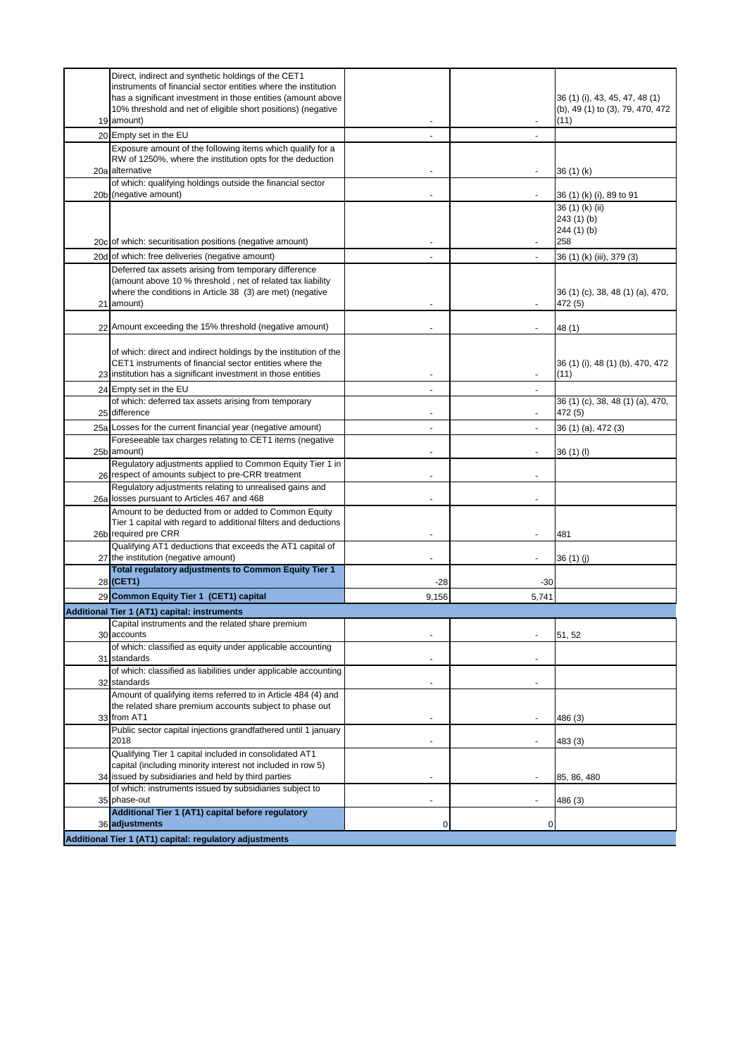| Direct, indirect and synthetic holdings of the CET1                                                                         |                |                |                                  |
|-----------------------------------------------------------------------------------------------------------------------------|----------------|----------------|----------------------------------|
| instruments of financial sector entities where the institution                                                              |                |                |                                  |
| has a significant investment in those entities (amount above                                                                |                |                | 36 (1) (i), 43, 45, 47, 48 (1)   |
| 10% threshold and net of eligible short positions) (negative                                                                |                |                | (b), 49 (1) to (3), 79, 470, 472 |
| 19 amount)                                                                                                                  | $\blacksquare$ |                | (11)                             |
|                                                                                                                             |                |                |                                  |
| 20 Empty set in the EU                                                                                                      | $\blacksquare$ | $\blacksquare$ |                                  |
| Exposure amount of the following items which qualify for a                                                                  |                |                |                                  |
| RW of 1250%, where the institution opts for the deduction                                                                   |                |                |                                  |
| 20a alternative                                                                                                             |                |                | 36 (1) (k)                       |
| of which: qualifying holdings outside the financial sector                                                                  |                |                |                                  |
| 20b (negative amount)                                                                                                       |                |                | 36 (1) (k) (i), 89 to 91         |
|                                                                                                                             |                |                | 36 (1) (k) (ii)                  |
|                                                                                                                             |                |                | 243 (1) (b)                      |
|                                                                                                                             |                |                | 244 (1) (b)                      |
| 20c of which: securitisation positions (negative amount)                                                                    |                |                | 258                              |
| 20d of which: free deliveries (negative amount)                                                                             |                |                | 36 (1) (k) (iii), 379 (3)        |
| Deferred tax assets arising from temporary difference                                                                       |                |                |                                  |
| (amount above 10 % threshold, net of related tax liability                                                                  |                |                |                                  |
| where the conditions in Article 38 (3) are met) (negative                                                                   |                |                | 36 (1) (c), 38, 48 (1) (a), 470, |
| 21 amount)                                                                                                                  |                |                | 472 (5)                          |
|                                                                                                                             |                |                |                                  |
| 22 Amount exceeding the 15% threshold (negative amount)                                                                     |                |                | 48 (1)                           |
|                                                                                                                             |                |                |                                  |
|                                                                                                                             |                |                |                                  |
| of which: direct and indirect holdings by the institution of the<br>CET1 instruments of financial sector entities where the |                |                | 36 (1) (i), 48 (1) (b), 470, 472 |
| 23 institution has a significant investment in those entities                                                               |                |                | (11)                             |
|                                                                                                                             |                |                |                                  |
| 24 Empty set in the EU                                                                                                      |                |                |                                  |
| of which: deferred tax assets arising from temporary                                                                        |                |                | 36 (1) (c), 38, 48 (1) (a), 470, |
| 25 difference                                                                                                               |                | $\overline{a}$ | 472 (5)                          |
| 25a Losses for the current financial year (negative amount)                                                                 |                |                | 36 (1) (a), 472 (3)              |
| Foreseeable tax charges relating to CET1 items (negative                                                                    |                |                |                                  |
| 25b amount)                                                                                                                 | $\blacksquare$ | $\blacksquare$ | 36 (1) (l)                       |
| Regulatory adjustments applied to Common Equity Tier 1 in                                                                   |                |                |                                  |
| 26 respect of amounts subject to pre-CRR treatment                                                                          |                |                |                                  |
| Regulatory adjustments relating to unrealised gains and                                                                     |                |                |                                  |
| 26a losses pursuant to Articles 467 and 468                                                                                 |                |                |                                  |
| Amount to be deducted from or added to Common Equity                                                                        |                |                |                                  |
| Tier 1 capital with regard to additional filters and deductions                                                             |                |                |                                  |
| 26b required pre CRR                                                                                                        | $\blacksquare$ |                | 481                              |
| Qualifying AT1 deductions that exceeds the AT1 capital of                                                                   |                |                |                                  |
| 27 the institution (negative amount)                                                                                        |                |                | 36 (1) (j)                       |
| Total regulatory adjustments to Common Equity Tier 1                                                                        |                |                |                                  |
| 28 (CET1)                                                                                                                   | -28            | -30            |                                  |
| 29 Common Equity Tier 1 (CET1) capital                                                                                      | 9,156          | 5,741          |                                  |
|                                                                                                                             |                |                |                                  |
| Additional Tier 1 (AT1) capital: instruments<br>Capital instruments and the related share premium                           |                |                |                                  |
| 30 accounts                                                                                                                 |                |                | 51, 52                           |
| of which: classified as equity under applicable accounting                                                                  |                |                |                                  |
| 31 standards                                                                                                                |                |                |                                  |
| of which: classified as liabilities under applicable accounting                                                             |                |                |                                  |
| 32 standards                                                                                                                |                |                |                                  |
| Amount of qualifying items referred to in Article 484 (4) and                                                               |                |                |                                  |
| the related share premium accounts subject to phase out                                                                     |                |                |                                  |
| 33 from AT1                                                                                                                 |                |                | 486 (3)                          |
| Public sector capital injections grandfathered until 1 january                                                              |                |                |                                  |
| 2018                                                                                                                        |                |                | 483 (3)                          |
| Qualifying Tier 1 capital included in consolidated AT1                                                                      |                |                |                                  |
| capital (including minority interest not included in row 5)                                                                 |                |                |                                  |
| 34 issued by subsidiaries and held by third parties                                                                         |                |                |                                  |
| of which: instruments issued by subsidiaries subject to                                                                     |                |                | 85, 86, 480                      |
| 35 phase-out                                                                                                                |                |                |                                  |
| Additional Tier 1 (AT1) capital before regulatory                                                                           |                |                | 486 (3)                          |
| 36 adjustments                                                                                                              | 0              | 0              |                                  |
|                                                                                                                             |                |                |                                  |
| Additional Tier 1 (AT1) capital: regulatory adjustments                                                                     |                |                |                                  |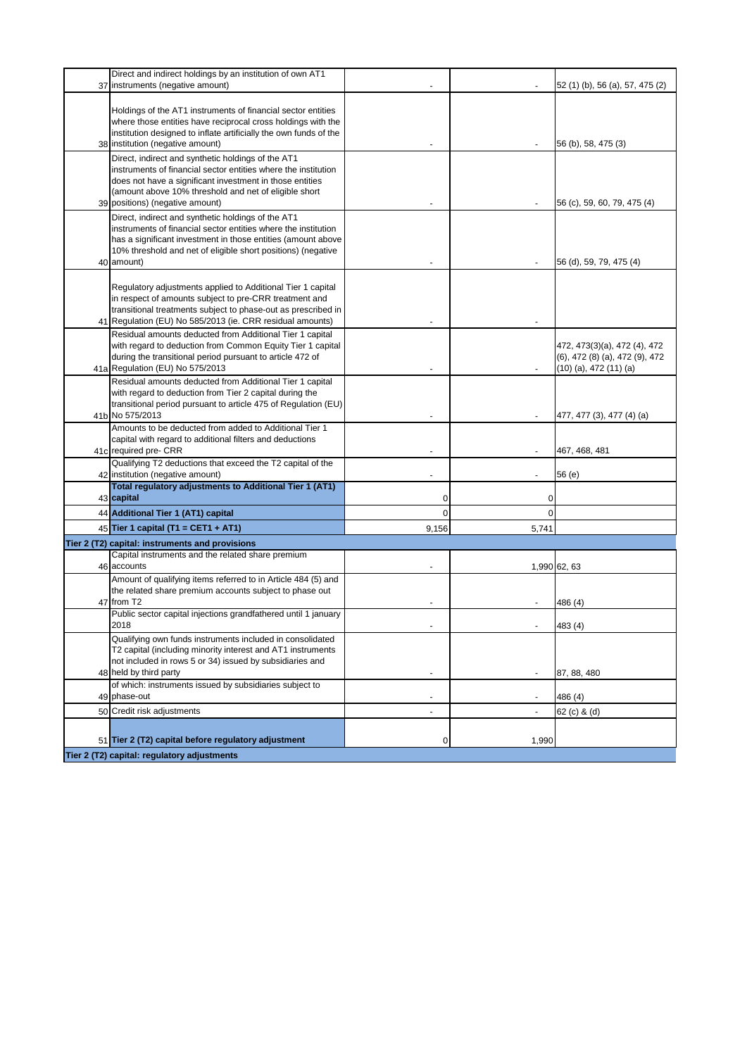| 37 | Direct and indirect holdings by an institution of own AT1<br>instruments (negative amount)                                                                                                                                                                         |        |       | 52 (1) (b), 56 (a), 57, 475 (2)                                                                         |
|----|--------------------------------------------------------------------------------------------------------------------------------------------------------------------------------------------------------------------------------------------------------------------|--------|-------|---------------------------------------------------------------------------------------------------------|
|    | Holdings of the AT1 instruments of financial sector entities<br>where those entities have reciprocal cross holdings with the<br>institution designed to inflate artificially the own funds of the<br>38 institution (negative amount)                              |        |       | 56 (b), 58, 475 (3)                                                                                     |
|    | Direct, indirect and synthetic holdings of the AT1                                                                                                                                                                                                                 |        |       |                                                                                                         |
|    | instruments of financial sector entities where the institution<br>does not have a significant investment in those entities                                                                                                                                         |        |       |                                                                                                         |
|    | (amount above 10% threshold and net of eligible short<br>39 positions) (negative amount)                                                                                                                                                                           |        |       | 56 (c), 59, 60, 79, 475 (4)                                                                             |
|    | Direct, indirect and synthetic holdings of the AT1<br>instruments of financial sector entities where the institution<br>has a significant investment in those entities (amount above<br>10% threshold and net of eligible short positions) (negative<br>40 amount) |        |       | 56 (d), 59, 79, 475 (4)                                                                                 |
|    |                                                                                                                                                                                                                                                                    |        |       |                                                                                                         |
|    | Regulatory adjustments applied to Additional Tier 1 capital<br>in respect of amounts subject to pre-CRR treatment and<br>transitional treatments subject to phase-out as prescribed in<br>41 Regulation (EU) No 585/2013 (ie. CRR residual amounts)                |        |       |                                                                                                         |
|    | Residual amounts deducted from Additional Tier 1 capital<br>with regard to deduction from Common Equity Tier 1 capital<br>during the transitional period pursuant to article 472 of<br>41a Regulation (EU) No 575/2013                                             |        |       | 472, 473(3)(a), 472 (4), 472<br>$(6)$ , 472 $(8)$ $(a)$ , 472 $(9)$ , 472<br>$(10)$ (a), 472 $(11)$ (a) |
|    | Residual amounts deducted from Additional Tier 1 capital<br>with regard to deduction from Tier 2 capital during the<br>transitional period pursuant to article 475 of Regulation (EU)<br>41b No 575/2013                                                           |        |       | 477, 477 (3), 477 (4) (a)                                                                               |
|    | Amounts to be deducted from added to Additional Tier 1<br>capital with regard to additional filters and deductions<br>41c required pre- CRR                                                                                                                        |        |       | 467, 468, 481                                                                                           |
|    | Qualifying T2 deductions that exceed the T2 capital of the<br>42 institution (negative amount)                                                                                                                                                                     |        |       | 56 (e)                                                                                                  |
|    | Total regulatory adjustments to Additional Tier 1 (AT1)<br>43 capital                                                                                                                                                                                              | 0      | 0     |                                                                                                         |
|    | 44 Additional Tier 1 (AT1) capital                                                                                                                                                                                                                                 | 0      | 0     |                                                                                                         |
|    | 45 Tier 1 capital (T1 = CET1 + AT1)                                                                                                                                                                                                                                | 9,156  | 5,741 |                                                                                                         |
|    | Tier 2 (T2) capital: instruments and provisions<br>Capital instruments and the related share premium                                                                                                                                                               |        |       |                                                                                                         |
|    | 46 accounts                                                                                                                                                                                                                                                        | $\sim$ |       | 1,990 62, 63                                                                                            |
|    | Amount of qualifying items referred to in Article 484 (5) and<br>the related share premium accounts subject to phase out                                                                                                                                           |        |       |                                                                                                         |
|    | 47 from T2                                                                                                                                                                                                                                                         |        |       | 486 (4)                                                                                                 |
|    | Public sector capital injections grandfathered until 1 january<br>2018                                                                                                                                                                                             |        |       | 483 (4)                                                                                                 |
|    | Qualifying own funds instruments included in consolidated<br>T2 capital (including minority interest and AT1 instruments<br>not included in rows 5 or 34) issued by subsidiaries and                                                                               |        |       |                                                                                                         |
|    | 48 held by third party                                                                                                                                                                                                                                             |        |       | 87, 88, 480                                                                                             |
|    | of which: instruments issued by subsidiaries subject to<br>49 phase-out                                                                                                                                                                                            |        |       | 486 (4)                                                                                                 |
|    | 50 Credit risk adjustments                                                                                                                                                                                                                                         |        |       | 62 (c) & (d)                                                                                            |
|    | 51 Tier 2 (T2) capital before regulatory adjustment                                                                                                                                                                                                                | 0      | 1,990 |                                                                                                         |
|    | Tier 2 (T2) capital: regulatory adjustments                                                                                                                                                                                                                        |        |       |                                                                                                         |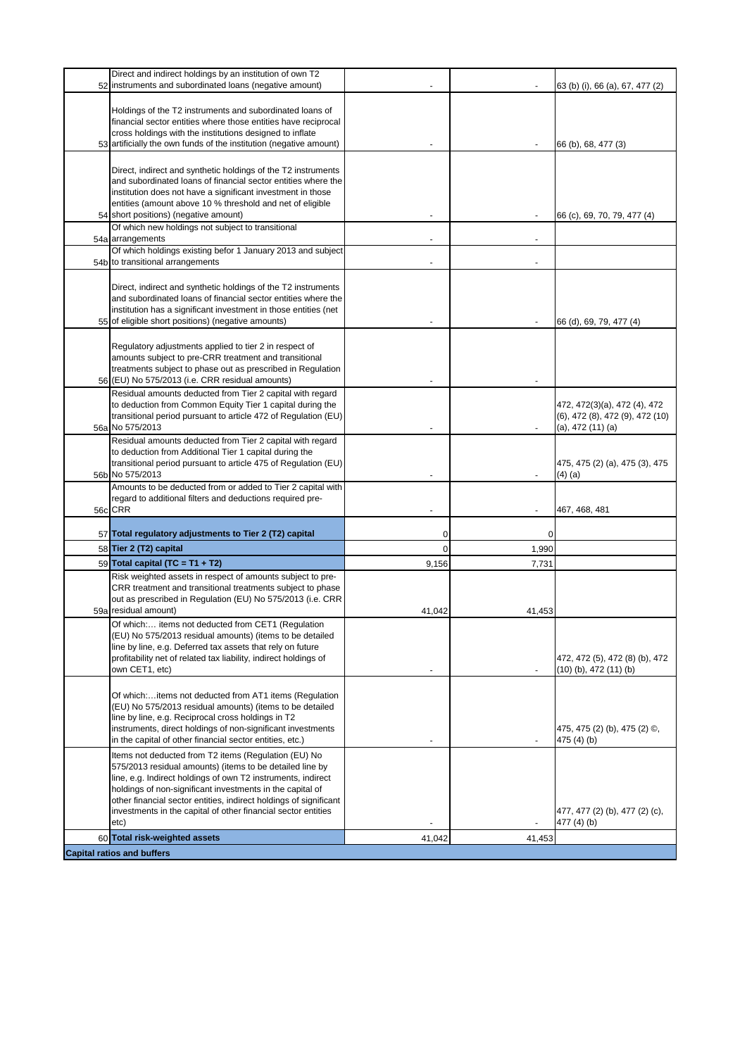| Direct and indirect holdings by an institution of own T2                                                                                                                                                                                                                                                                                                                                    |          |        |                                                                                      |
|---------------------------------------------------------------------------------------------------------------------------------------------------------------------------------------------------------------------------------------------------------------------------------------------------------------------------------------------------------------------------------------------|----------|--------|--------------------------------------------------------------------------------------|
| 52 instruments and subordinated loans (negative amount)                                                                                                                                                                                                                                                                                                                                     |          |        | 63 (b) (i), 66 (a), 67, 477 (2)                                                      |
| Holdings of the T2 instruments and subordinated loans of<br>financial sector entities where those entities have reciprocal<br>cross holdings with the institutions designed to inflate<br>53 artificially the own funds of the institution (negative amount)                                                                                                                                |          |        | 66 (b), 68, 477 (3)                                                                  |
|                                                                                                                                                                                                                                                                                                                                                                                             |          |        |                                                                                      |
| Direct, indirect and synthetic holdings of the T2 instruments<br>and subordinated loans of financial sector entities where the                                                                                                                                                                                                                                                              |          |        |                                                                                      |
| institution does not have a significant investment in those                                                                                                                                                                                                                                                                                                                                 |          |        |                                                                                      |
| entities (amount above 10 % threshold and net of eligible<br>54 short positions) (negative amount)                                                                                                                                                                                                                                                                                          |          |        | 66 (c), 69, 70, 79, 477 (4)                                                          |
| Of which new holdings not subject to transitional                                                                                                                                                                                                                                                                                                                                           |          |        |                                                                                      |
| 54a arrangements<br>Of which holdings existing befor 1 January 2013 and subject                                                                                                                                                                                                                                                                                                             |          |        |                                                                                      |
| 54b to transitional arrangements                                                                                                                                                                                                                                                                                                                                                            |          |        |                                                                                      |
| Direct, indirect and synthetic holdings of the T2 instruments<br>and subordinated loans of financial sector entities where the<br>institution has a significant investment in those entities (net                                                                                                                                                                                           |          |        |                                                                                      |
| 55 of eligible short positions) (negative amounts)                                                                                                                                                                                                                                                                                                                                          |          |        | 66 (d), 69, 79, 477 (4)                                                              |
| Regulatory adjustments applied to tier 2 in respect of<br>amounts subject to pre-CRR treatment and transitional<br>treatments subject to phase out as prescribed in Regulation<br>56 (EU) No 575/2013 (i.e. CRR residual amounts)                                                                                                                                                           |          |        |                                                                                      |
| Residual amounts deducted from Tier 2 capital with regard                                                                                                                                                                                                                                                                                                                                   |          |        |                                                                                      |
| to deduction from Common Equity Tier 1 capital during the<br>transitional period pursuant to article 472 of Regulation (EU)<br>56a No 575/2013                                                                                                                                                                                                                                              |          |        | 472, 472(3)(a), 472 (4), 472<br>(6), 472 (8), 472 (9), 472 (10)<br>(a), 472 (11) (a) |
| Residual amounts deducted from Tier 2 capital with regard<br>to deduction from Additional Tier 1 capital during the<br>transitional period pursuant to article 475 of Regulation (EU)<br>56b No 575/2013                                                                                                                                                                                    |          |        | 475, 475 (2) (a), 475 (3), 475<br>(4) (a)                                            |
| Amounts to be deducted from or added to Tier 2 capital with<br>regard to additional filters and deductions required pre-<br>56c CRR                                                                                                                                                                                                                                                         |          |        | 467, 468, 481                                                                        |
| 57 Total regulatory adjustments to Tier 2 (T2) capital                                                                                                                                                                                                                                                                                                                                      | 0        | 0      |                                                                                      |
| 58 Tier 2 (T2) capital                                                                                                                                                                                                                                                                                                                                                                      | $\Omega$ | 1,990  |                                                                                      |
| 59 Total capital (TC = T1 + T2)                                                                                                                                                                                                                                                                                                                                                             | 9,156    | 7,731  |                                                                                      |
| Risk weighted assets in respect of amounts subject to pre-<br>CRR treatment and transitional treatments subject to phase<br>out as prescribed in Regulation (EU) No 575/2013 (i.e. CRR<br>59a residual amount)                                                                                                                                                                              | 41,042   | 41,453 |                                                                                      |
| Of which: items not deducted from CET1 (Regulation<br>(EU) No 575/2013 residual amounts) (items to be detailed<br>line by line, e.g. Deferred tax assets that rely on future<br>profitability net of related tax liability, indirect holdings of<br>own CET1, etc)                                                                                                                          |          |        | 472, 472 (5), 472 (8) (b), 472<br>$(10)$ (b), 472 $(11)$ (b)                         |
| Of which:items not deducted from AT1 items (Regulation<br>(EU) No 575/2013 residual amounts) (items to be detailed<br>line by line, e.g. Reciprocal cross holdings in T2<br>instruments, direct holdings of non-significant investments<br>in the capital of other financial sector entities, etc.)                                                                                         |          |        | 475, 475 (2) (b), 475 (2) ©,<br>475 (4) (b)                                          |
| Items not deducted from T2 items (Regulation (EU) No<br>575/2013 residual amounts) (items to be detailed line by<br>line, e.g. Indirect holdings of own T2 instruments, indirect<br>holdings of non-significant investments in the capital of<br>other financial sector entities, indirect holdings of significant<br>investments in the capital of other financial sector entities<br>etc) |          |        | 477, 477 (2) (b), 477 (2) (c),<br>477 (4) (b)                                        |
| 60 Total risk-weighted assets                                                                                                                                                                                                                                                                                                                                                               | 41,042   | 41,453 |                                                                                      |
| <b>Capital ratios and buffers</b>                                                                                                                                                                                                                                                                                                                                                           |          |        |                                                                                      |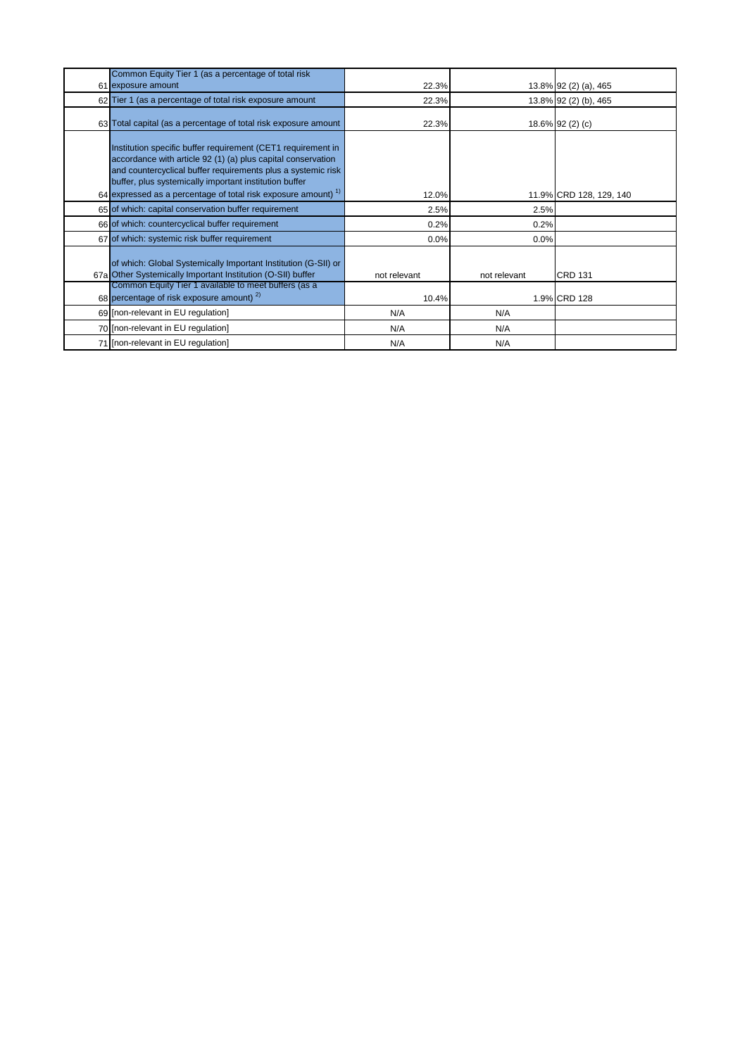| Common Equity Tier 1 (as a percentage of total risk                                                                                                                                                                                                                                                                                 |                       |              |                                |
|-------------------------------------------------------------------------------------------------------------------------------------------------------------------------------------------------------------------------------------------------------------------------------------------------------------------------------------|-----------------------|--------------|--------------------------------|
| 61 exposure amount                                                                                                                                                                                                                                                                                                                  | 22.3%                 |              | 13.8% 92 (2) (a), 465          |
| 62 Tier 1 (as a percentage of total risk exposure amount                                                                                                                                                                                                                                                                            | 22.3%                 |              | 13.8% 92 (2) (b), 465          |
| 63 Total capital (as a percentage of total risk exposure amount                                                                                                                                                                                                                                                                     | 22.3%                 |              | 18.6% 92 (2) (c)               |
| Institution specific buffer requirement (CET1 requirement in<br>accordance with article 92 (1) (a) plus capital conservation<br>and countercyclical buffer requirements plus a systemic risk<br>buffer, plus systemically important institution buffer<br>64 expressed as a percentage of total risk exposure amount) <sup>1)</sup> | 12.0%                 |              | 11.9% CRD 128, 129, 140        |
| 65 of which: capital conservation buffer requirement                                                                                                                                                                                                                                                                                | 2.5%                  | 2.5%         |                                |
| 66 of which: countercyclical buffer requirement                                                                                                                                                                                                                                                                                     | 0.2%                  | 0.2%         |                                |
| 67 of which: systemic risk buffer requirement                                                                                                                                                                                                                                                                                       | 0.0%                  | 0.0%         |                                |
| of which: Global Systemically Important Institution (G-SII) or<br>67a Other Systemically Important Institution (O-SII) buffer<br>Common Equity Tier 1 available to meet buffers (as a<br>68 percentage of risk exposure amount) $^{2}$                                                                                              | not relevant<br>10.4% | not relevant | <b>CRD 131</b><br>1.9% CRD 128 |
|                                                                                                                                                                                                                                                                                                                                     |                       |              |                                |
| 69 [non-relevant in EU regulation]                                                                                                                                                                                                                                                                                                  | N/A                   | N/A          |                                |
| 70 [non-relevant in EU regulation]                                                                                                                                                                                                                                                                                                  | N/A                   | N/A          |                                |
| 71 [non-relevant in EU regulation]                                                                                                                                                                                                                                                                                                  | N/A                   | N/A          |                                |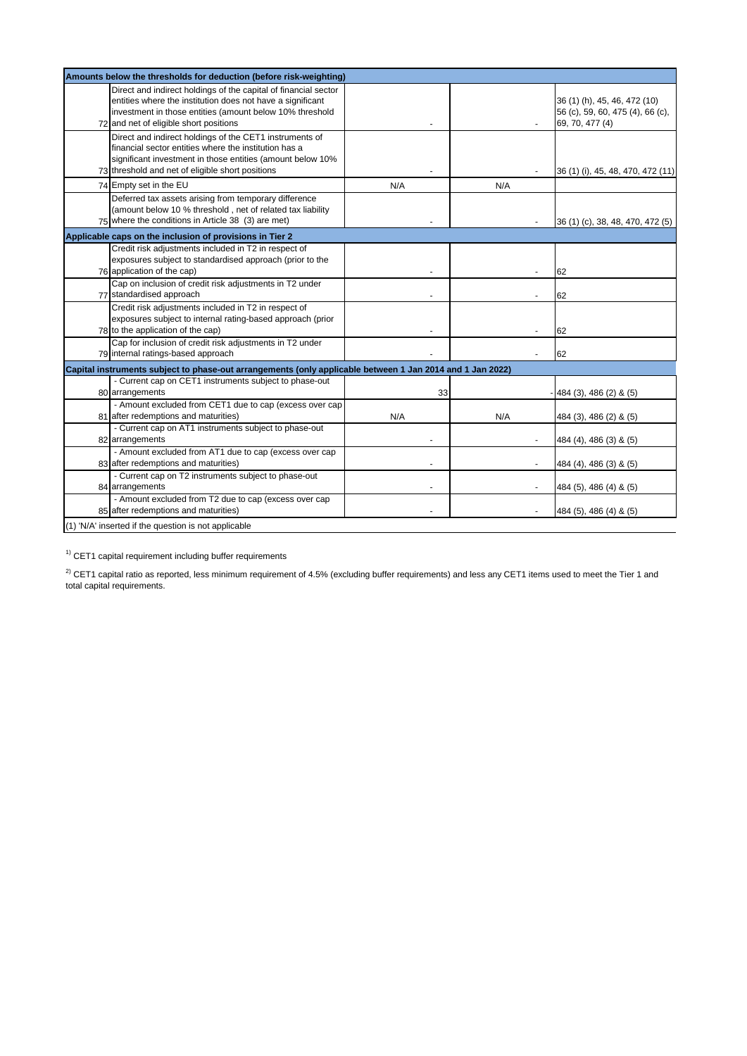| Amounts below the thresholds for deduction (before risk-weighting) |                                                                                                                                                                                                                                     |     |     |                                                                                     |
|--------------------------------------------------------------------|-------------------------------------------------------------------------------------------------------------------------------------------------------------------------------------------------------------------------------------|-----|-----|-------------------------------------------------------------------------------------|
|                                                                    | Direct and indirect holdings of the capital of financial sector<br>entities where the institution does not have a significant<br>investment in those entities (amount below 10% threshold<br>72 and net of eligible short positions |     |     | 36 (1) (h), 45, 46, 472 (10)<br>56 (c), 59, 60, 475 (4), 66 (c),<br>69, 70, 477 (4) |
|                                                                    | Direct and indirect holdings of the CET1 instruments of<br>financial sector entities where the institution has a<br>significant investment in those entities (amount below 10%<br>73 threshold and net of eligible short positions  |     |     | 36 (1) (i), 45, 48, 470, 472 (11)                                                   |
|                                                                    | 74 Empty set in the EU                                                                                                                                                                                                              | N/A | N/A |                                                                                     |
|                                                                    | Deferred tax assets arising from temporary difference<br>(amount below 10 % threshold, net of related tax liability<br>75 where the conditions in Article 38 (3) are met)                                                           |     |     | 36 (1) (c), 38, 48, 470, 472 (5)                                                    |
|                                                                    | Applicable caps on the inclusion of provisions in Tier 2                                                                                                                                                                            |     |     |                                                                                     |
|                                                                    | Credit risk adjustments included in T2 in respect of<br>exposures subject to standardised approach (prior to the<br>76 application of the cap)                                                                                      |     |     | 62                                                                                  |
|                                                                    | Cap on inclusion of credit risk adjustments in T2 under<br>77 standardised approach                                                                                                                                                 |     |     | 62                                                                                  |
|                                                                    | Credit risk adjustments included in T2 in respect of<br>exposures subject to internal rating-based approach (prior<br>78 to the application of the cap)                                                                             |     |     | 62                                                                                  |
|                                                                    | Cap for inclusion of credit risk adjustments in T2 under<br>79 internal ratings-based approach                                                                                                                                      |     |     | 62                                                                                  |
|                                                                    | Capital instruments subject to phase-out arrangements (only applicable between 1 Jan 2014 and 1 Jan 2022)                                                                                                                           |     |     |                                                                                     |
|                                                                    | - Current cap on CET1 instruments subject to phase-out<br>80 arrangements                                                                                                                                                           | 33  |     | 484 (3), 486 (2) & (5)                                                              |
|                                                                    | - Amount excluded from CET1 due to cap (excess over cap<br>81 after redemptions and maturities)                                                                                                                                     | N/A | N/A | 484 (3), 486 (2) & (5)                                                              |
|                                                                    | - Current cap on AT1 instruments subject to phase-out<br>82 arrangements                                                                                                                                                            |     |     | 484 (4), 486 (3) & (5)                                                              |
|                                                                    | - Amount excluded from AT1 due to cap (excess over cap<br>83 after redemptions and maturities)                                                                                                                                      |     |     | 484 (4), 486 (3) & (5)                                                              |
|                                                                    | - Current cap on T2 instruments subject to phase-out<br>84 arrangements                                                                                                                                                             |     |     | 484 (5), 486 (4) & (5)                                                              |
|                                                                    | - Amount excluded from T2 due to cap (excess over cap<br>85 after redemptions and maturities)                                                                                                                                       |     |     | 484 (5), 486 (4) & (5)                                                              |
|                                                                    | (1) 'N/A' inserted if the question is not applicable                                                                                                                                                                                |     |     |                                                                                     |

 $1)$  CET1 capital requirement including buffer requirements

 $^{2)}$  CET1 capital ratio as reported, less minimum requirement of 4.5% (excluding buffer requirements) and less any CET1 items used to meet the Tier 1 and total capital requirements.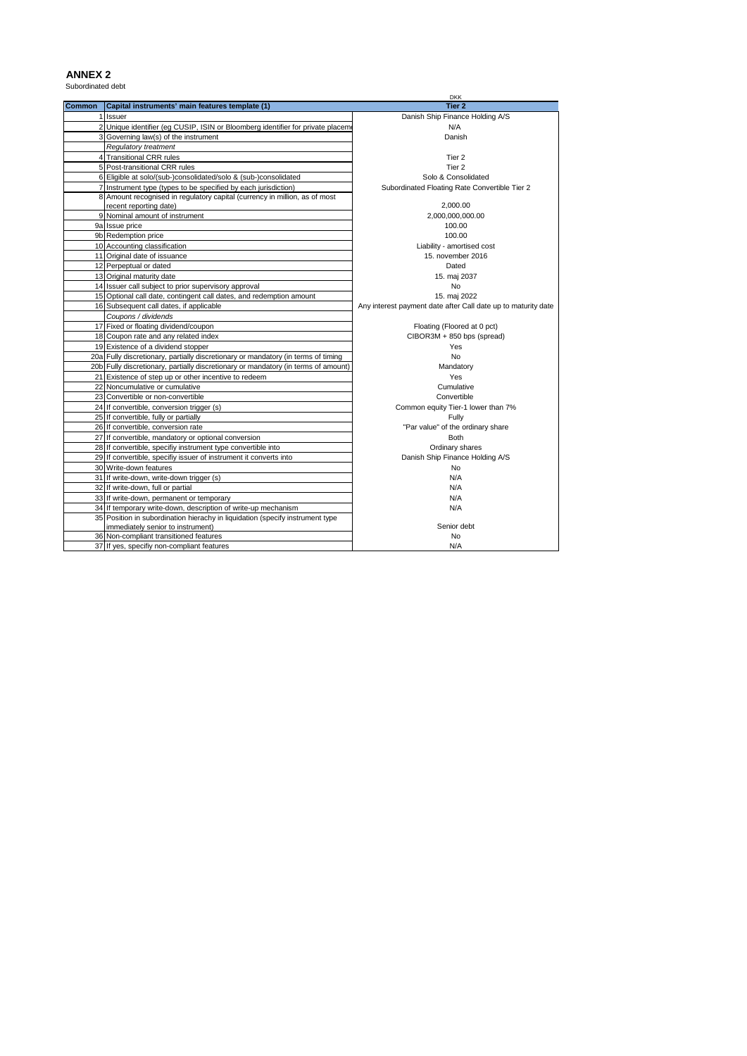### **ANNEX 2** Subordinated debt

| <b>Common</b><br>Capital instruments' main features template (1)<br>Tier 2                                      |  |
|-----------------------------------------------------------------------------------------------------------------|--|
|                                                                                                                 |  |
| 1 Issuer<br>Danish Ship Finance Holding A/S                                                                     |  |
| 2 Unique identifier (eg CUSIP, ISIN or Bloomberg identifier for private placeme<br>N/A                          |  |
| 3 Governing law(s) of the instrument<br>Danish                                                                  |  |
| Regulatory treatment                                                                                            |  |
| 4 Transitional CRR rules<br>Tier 2                                                                              |  |
| 5 Post-transitional CRR rules<br>Tier 2                                                                         |  |
| 6 Eligible at solo/(sub-)consolidated/solo & (sub-)consolidated<br>Solo & Consolidated                          |  |
| 7 Instrument type (types to be specified by each jurisdiction)<br>Subordinated Floating Rate Convertible Tier 2 |  |
| 8 Amount recognised in regulatory capital (currency in million, as of most                                      |  |
| 2,000.00<br>recent reporting date)                                                                              |  |
| 9 Nominal amount of instrument<br>2,000,000,000.00                                                              |  |
| 9a Issue price<br>100.00                                                                                        |  |
| 9b Redemption price<br>100.00                                                                                   |  |
| 10 Accounting classification<br>Liability - amortised cost                                                      |  |
| 11 Original date of issuance<br>15. november 2016                                                               |  |
| 12 Perpeptual or dated<br>Dated                                                                                 |  |
| 13 Original maturity date<br>15. maj 2037                                                                       |  |
| 14 Issuer call subject to prior supervisory approval<br><b>No</b>                                               |  |
| 15 Optional call date, contingent call dates, and redemption amount<br>15. maj 2022                             |  |
| 16 Subsequent call dates, if applicable<br>Any interest payment date after Call date up to maturity date        |  |
| Coupons / dividends                                                                                             |  |
| 17 Fixed or floating dividend/coupon<br>Floating (Floored at 0 pct)                                             |  |
| 18 Coupon rate and any related index<br>CIBOR3M + 850 bps (spread)                                              |  |
| 19 Existence of a dividend stopper<br>Yes                                                                       |  |
| 20a Fully discretionary, partially discretionary or mandatory (in terms of timing<br>No                         |  |
| 20b Fully discretionary, partially discretionary or mandatory (in terms of amount)<br>Mandatory                 |  |
| 21 Existence of step up or other incentive to redeem<br>Yes                                                     |  |
| 22 Noncumulative or cumulative<br>Cumulative                                                                    |  |
| Convertible<br>23 Convertible or non-convertible                                                                |  |
| 24 If convertible, conversion trigger (s)<br>Common equity Tier-1 lower than 7%                                 |  |
| 25 If convertible, fully or partially<br>Fully                                                                  |  |
| 26 If convertible, conversion rate<br>"Par value" of the ordinary share                                         |  |
| 27 If convertible, mandatory or optional conversion<br><b>Both</b>                                              |  |
| 28 If convertible, specifiy instrument type convertible into<br>Ordinary shares                                 |  |
| 29 If convertible, specifiy issuer of instrument it converts into<br>Danish Ship Finance Holding A/S            |  |
| 30 Write-down features<br>N <sub>o</sub>                                                                        |  |
| N/A<br>31 If write-down, write-down trigger (s)                                                                 |  |
| 32 If write-down, full or partial<br>N/A                                                                        |  |
| 33 If write-down, permanent or temporary<br>N/A                                                                 |  |
| 34 If temporary write-down, description of write-up mechanism<br>N/A                                            |  |
| 35 Position in subordination hierachy in liquidation (specify instrument type                                   |  |
| Senior debt<br>immediately senior to instrument)                                                                |  |
| 36 Non-compliant transitioned features<br><b>No</b>                                                             |  |
| 37 If yes, specifiy non-compliant features<br>N/A                                                               |  |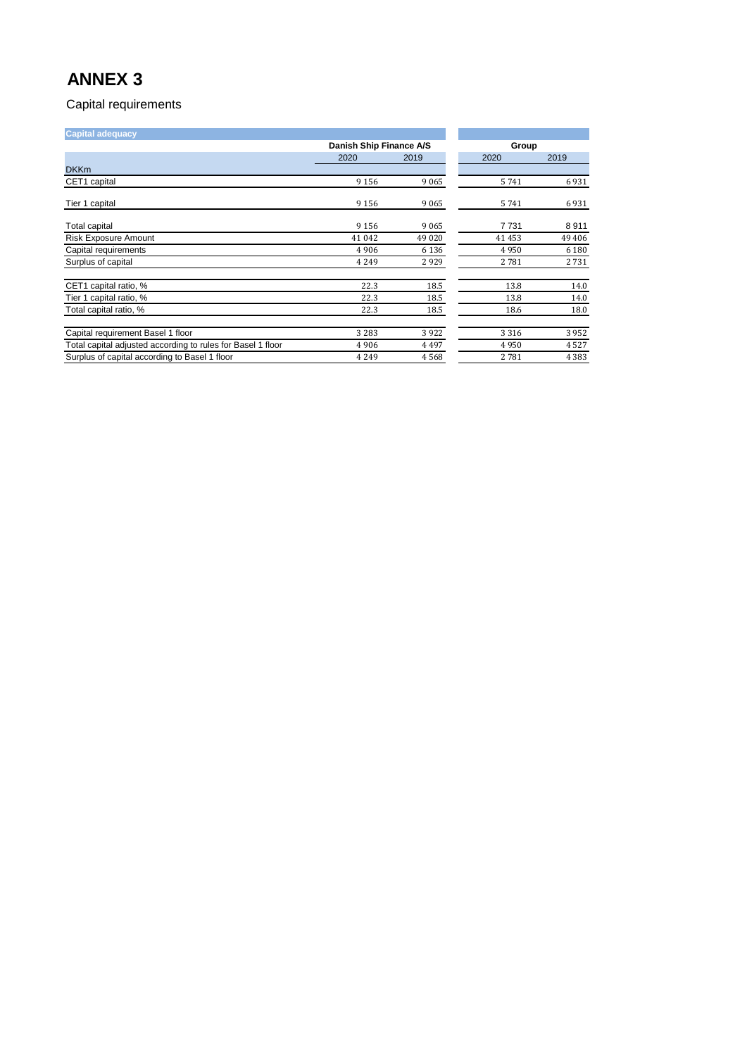| <b>Capital adequacy</b>                                     |                         |         |         |         |
|-------------------------------------------------------------|-------------------------|---------|---------|---------|
|                                                             | Danish Ship Finance A/S |         | Group   |         |
|                                                             | 2020                    | 2019    | 2020    | 2019    |
| <b>DKKm</b>                                                 |                         |         |         |         |
| CET1 capital                                                | 9 1 5 6                 | 9065    | 5741    | 6931    |
| Tier 1 capital                                              | 9 1 5 6                 | 9065    | 5741    | 6931    |
| <b>Total capital</b>                                        | 9 1 5 6                 | 9065    | 7731    | 8911    |
| <b>Risk Exposure Amount</b>                                 | 41 0 42                 | 49 0 20 | 41453   | 49 40 6 |
| Capital requirements                                        | 4906                    | 6 1 3 6 | 4950    | 6 1 8 0 |
| Surplus of capital                                          | 4 2 4 9                 | 2929    | 2781    | 2731    |
| CET1 capital ratio, %                                       | 22.3                    | 18.5    | 13.8    | 14.0    |
| Tier 1 capital ratio, %                                     | 22.3                    | 18.5    | 13.8    | 14.0    |
| Total capital ratio, %                                      | 22.3                    | 18.5    | 18.6    | 18.0    |
| Capital requirement Basel 1 floor                           | 3 2 8 3                 | 3922    | 3 3 1 6 | 3952    |
| Total capital adjusted according to rules for Basel 1 floor | 4906                    | 4497    | 4950    | 4527    |
| Surplus of capital according to Basel 1 floor               | 4 2 4 9                 | 4568    | 2781    | 4 3 8 3 |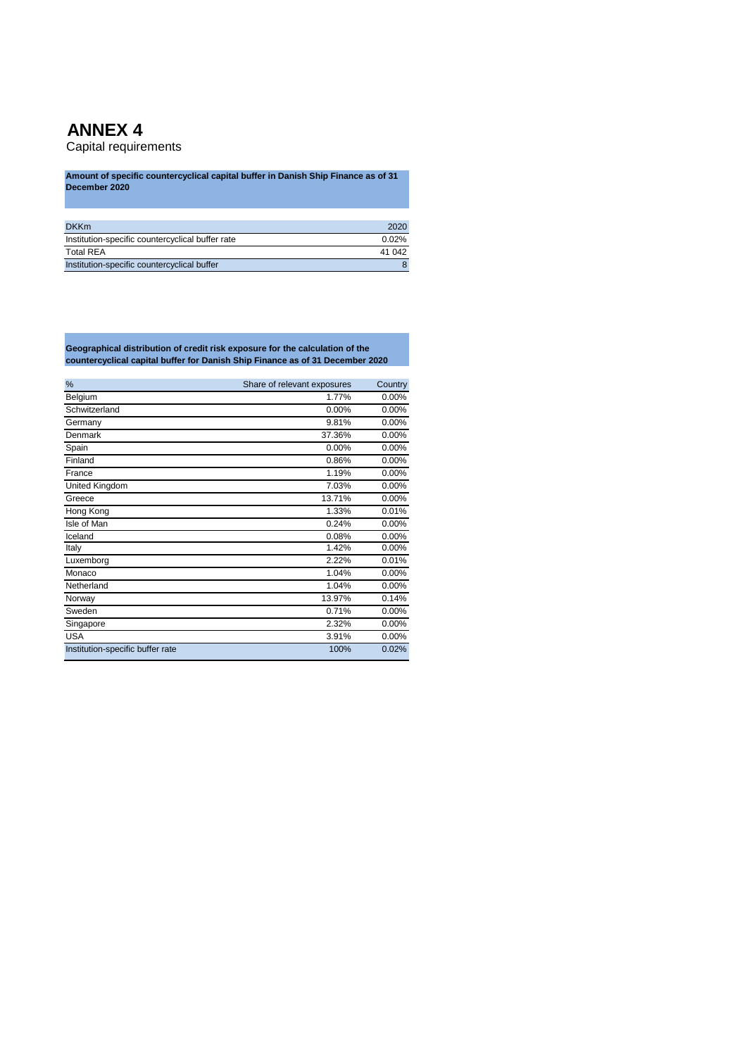Capital requirements

**Amount of specific countercyclical capital buffer in Danish Ship Finance as of 31 December 2020**

| <b>DKKm</b>                                      | 2020     |
|--------------------------------------------------|----------|
| Institution-specific countercyclical buffer rate | $0.02\%$ |
| <b>Total REA</b>                                 | 41 042   |
| Institution-specific countercyclical buffer      |          |

**Geographical distribution of credit risk exposure for the calculation of the countercyclical capital buffer for Danish Ship Finance as of 31 December 2020**

| %                                | Share of relevant exposures | Country  |
|----------------------------------|-----------------------------|----------|
| Belgium                          | 1.77%                       | 0.00%    |
| Schwitzerland                    | 0.00%                       | 0.00%    |
| Germany                          | 9.81%                       | 0.00%    |
| Denmark                          | 37.36%                      | 0.00%    |
| Spain                            | 0.00%                       | 0.00%    |
| Finland                          | 0.86%                       | 0.00%    |
| France                           | 1.19%                       | 0.00%    |
| <b>United Kingdom</b>            | 7.03%                       | $0.00\%$ |
| Greece                           | 13.71%                      | 0.00%    |
| Hong Kong                        | 1.33%                       | 0.01%    |
| Isle of Man                      | 0.24%                       | 0.00%    |
| Iceland                          | 0.08%                       | $0.00\%$ |
| Italy                            | 1.42%                       | 0.00%    |
| Luxemborg                        | 2.22%                       | 0.01%    |
| Monaco                           | 1.04%                       | 0.00%    |
| Netherland                       | 1.04%                       | $0.00\%$ |
| Norway                           | 13.97%                      | 0.14%    |
| Sweden                           | 0.71%                       | 0.00%    |
| Singapore                        | 2.32%                       | 0.00%    |
| <b>USA</b>                       | 3.91%                       | 0.00%    |
| Institution-specific buffer rate | 100%                        | 0.02%    |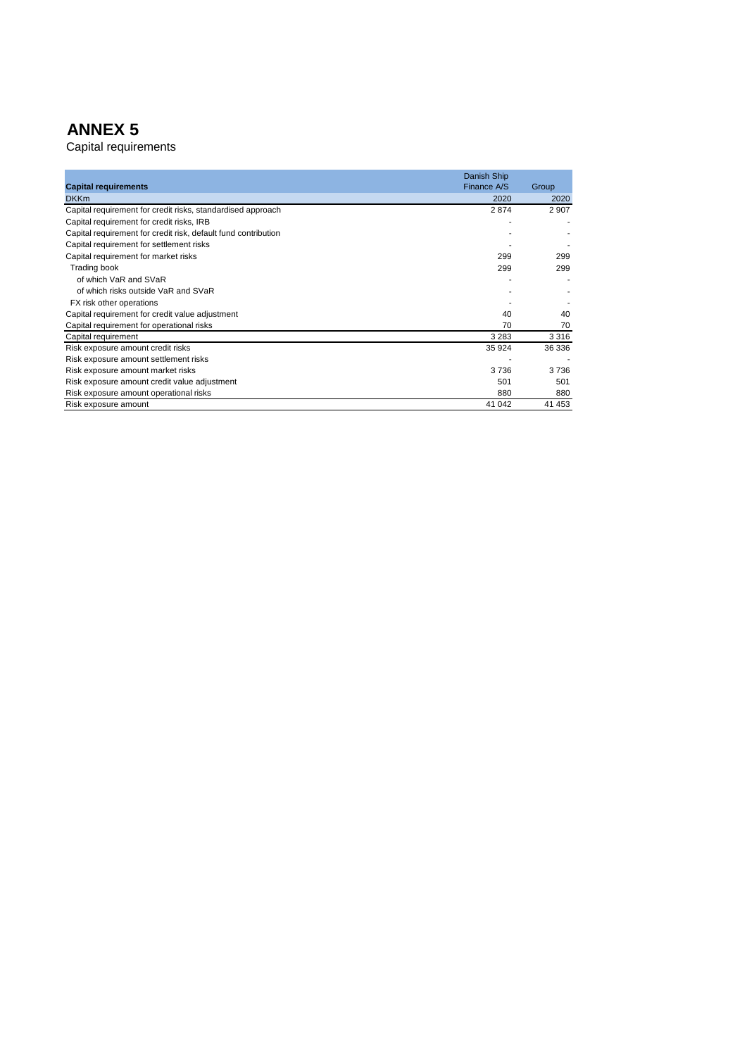|                                                                | Danish Ship |         |
|----------------------------------------------------------------|-------------|---------|
| <b>Capital requirements</b>                                    | Finance A/S | Group   |
| <b>DKKm</b>                                                    | 2020        | 2020    |
| Capital requirement for credit risks, standardised approach    | 2874        | 2 9 0 7 |
| Capital requirement for credit risks, IRB                      |             |         |
| Capital requirement for credit risk, default fund contribution |             |         |
| Capital requirement for settlement risks                       |             |         |
| Capital requirement for market risks                           | 299         | 299     |
| Trading book                                                   | 299         | 299     |
| of which VaR and SVaR                                          |             |         |
| of which risks outside VaR and SVaR                            |             |         |
| FX risk other operations                                       |             |         |
| Capital requirement for credit value adjustment                | 40          | 40      |
| Capital requirement for operational risks                      | 70          | 70      |
| Capital requirement                                            | 3 2 8 3     | 3316    |
| Risk exposure amount credit risks                              | 35 924      | 36 336  |
| Risk exposure amount settlement risks                          |             |         |
| Risk exposure amount market risks                              | 3736        | 3736    |
| Risk exposure amount credit value adjustment                   | 501         | 501     |
| Risk exposure amount operational risks                         | 880         | 880     |
| Risk exposure amount                                           | 41 042      | 41 453  |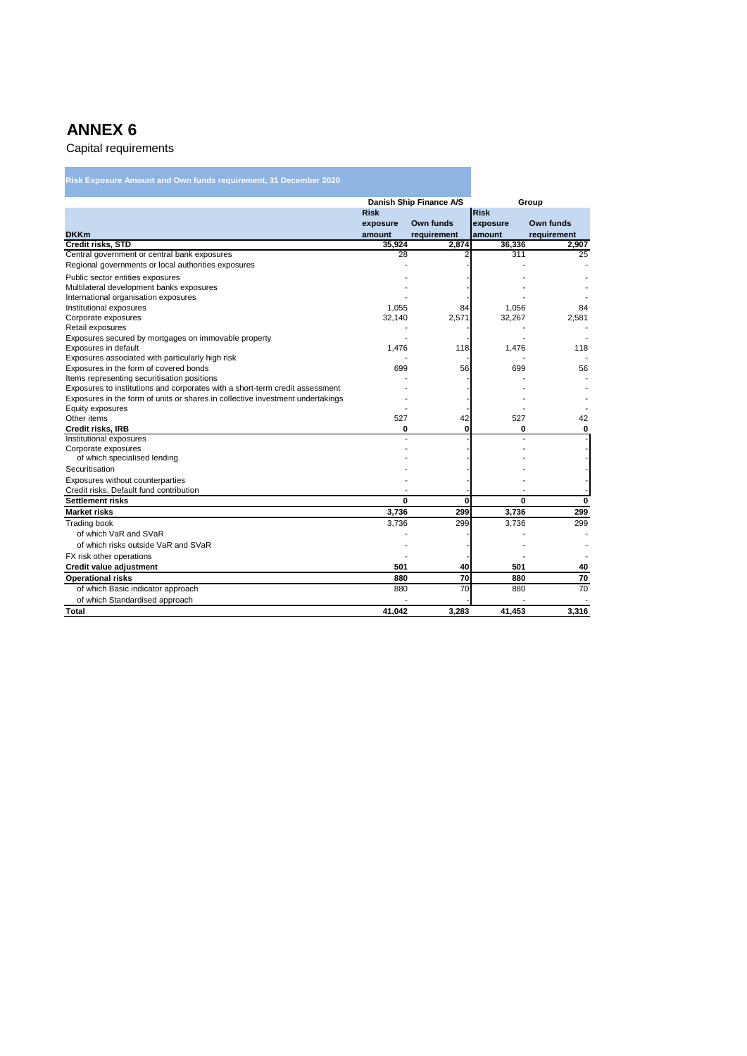| Danish Ship Finance A/S<br>Group<br><b>Risk</b><br><b>Risk</b><br>Own funds<br>Own funds<br>exposure<br>exposure<br>amount<br>requirement<br>amount<br>requirement<br>Credit risks, STD<br>36,336<br>35,924<br>2,874<br>2,907<br>Central government or central bank exposures<br>28<br>2<br>311<br>25<br>Regional governments or local authorities exposures<br>Public sector entities exposures<br>Multilateral development banks exposures<br>International organisation exposures<br>Institutional exposures<br>1,055<br>84<br>1,056<br>84<br>Corporate exposures<br>32,140<br>2,571<br>32,267<br>2,581<br>Retail exposures<br>Exposures secured by mortgages on immovable property<br>Exposures in default<br>1.476<br>118<br>1.476<br>118<br>Exposures associated with particularly high risk<br>Exposures in the form of covered bonds<br>56<br>699<br>699<br>56<br>Items representing securitisation positions<br>Exposures to institutions and corporates with a short-term credit assessment<br>Exposures in the form of units or shares in collective investment undertakings<br>Equity exposures<br>Other items<br>527<br>42<br>527<br>42<br>0<br>0<br>Credit risks, IRB<br>0<br>0<br>Institutional exposures<br>Corporate exposures<br>of which specialised lending<br>Securitisation<br>Exposures without counterparties<br>Credit risks, Default fund contribution<br>0<br><b>Settlement risks</b><br>0<br>0<br>0<br>299<br>3,736<br><b>Market risks</b><br>3.736<br>299<br><b>Trading book</b><br>3,736<br>299<br>3,736<br>299<br>of which VaR and SVaR<br>of which risks outside VaR and SVaR<br>FX risk other operations<br>Credit value adjustment<br>501<br>40<br>501<br>40<br>70<br>70<br>880<br>880<br><b>Operational risks</b><br>70<br>70<br>of which Basic indicator approach<br>880<br>880<br>of which Standardised approach<br>41.042 | Risk Exposure Amount and Own funds requirement, 31 December 2020 |       |        |       |
|-----------------------------------------------------------------------------------------------------------------------------------------------------------------------------------------------------------------------------------------------------------------------------------------------------------------------------------------------------------------------------------------------------------------------------------------------------------------------------------------------------------------------------------------------------------------------------------------------------------------------------------------------------------------------------------------------------------------------------------------------------------------------------------------------------------------------------------------------------------------------------------------------------------------------------------------------------------------------------------------------------------------------------------------------------------------------------------------------------------------------------------------------------------------------------------------------------------------------------------------------------------------------------------------------------------------------------------------------------------------------------------------------------------------------------------------------------------------------------------------------------------------------------------------------------------------------------------------------------------------------------------------------------------------------------------------------------------------------------------------------------------------------------------------------------------------------------------------------------------------|------------------------------------------------------------------|-------|--------|-------|
|                                                                                                                                                                                                                                                                                                                                                                                                                                                                                                                                                                                                                                                                                                                                                                                                                                                                                                                                                                                                                                                                                                                                                                                                                                                                                                                                                                                                                                                                                                                                                                                                                                                                                                                                                                                                                                                                 |                                                                  |       |        |       |
|                                                                                                                                                                                                                                                                                                                                                                                                                                                                                                                                                                                                                                                                                                                                                                                                                                                                                                                                                                                                                                                                                                                                                                                                                                                                                                                                                                                                                                                                                                                                                                                                                                                                                                                                                                                                                                                                 |                                                                  |       |        |       |
|                                                                                                                                                                                                                                                                                                                                                                                                                                                                                                                                                                                                                                                                                                                                                                                                                                                                                                                                                                                                                                                                                                                                                                                                                                                                                                                                                                                                                                                                                                                                                                                                                                                                                                                                                                                                                                                                 |                                                                  |       |        |       |
|                                                                                                                                                                                                                                                                                                                                                                                                                                                                                                                                                                                                                                                                                                                                                                                                                                                                                                                                                                                                                                                                                                                                                                                                                                                                                                                                                                                                                                                                                                                                                                                                                                                                                                                                                                                                                                                                 | <b>DKKm</b>                                                      |       |        |       |
|                                                                                                                                                                                                                                                                                                                                                                                                                                                                                                                                                                                                                                                                                                                                                                                                                                                                                                                                                                                                                                                                                                                                                                                                                                                                                                                                                                                                                                                                                                                                                                                                                                                                                                                                                                                                                                                                 |                                                                  |       |        |       |
|                                                                                                                                                                                                                                                                                                                                                                                                                                                                                                                                                                                                                                                                                                                                                                                                                                                                                                                                                                                                                                                                                                                                                                                                                                                                                                                                                                                                                                                                                                                                                                                                                                                                                                                                                                                                                                                                 |                                                                  |       |        |       |
|                                                                                                                                                                                                                                                                                                                                                                                                                                                                                                                                                                                                                                                                                                                                                                                                                                                                                                                                                                                                                                                                                                                                                                                                                                                                                                                                                                                                                                                                                                                                                                                                                                                                                                                                                                                                                                                                 |                                                                  |       |        |       |
|                                                                                                                                                                                                                                                                                                                                                                                                                                                                                                                                                                                                                                                                                                                                                                                                                                                                                                                                                                                                                                                                                                                                                                                                                                                                                                                                                                                                                                                                                                                                                                                                                                                                                                                                                                                                                                                                 |                                                                  |       |        |       |
|                                                                                                                                                                                                                                                                                                                                                                                                                                                                                                                                                                                                                                                                                                                                                                                                                                                                                                                                                                                                                                                                                                                                                                                                                                                                                                                                                                                                                                                                                                                                                                                                                                                                                                                                                                                                                                                                 |                                                                  |       |        |       |
|                                                                                                                                                                                                                                                                                                                                                                                                                                                                                                                                                                                                                                                                                                                                                                                                                                                                                                                                                                                                                                                                                                                                                                                                                                                                                                                                                                                                                                                                                                                                                                                                                                                                                                                                                                                                                                                                 |                                                                  |       |        |       |
|                                                                                                                                                                                                                                                                                                                                                                                                                                                                                                                                                                                                                                                                                                                                                                                                                                                                                                                                                                                                                                                                                                                                                                                                                                                                                                                                                                                                                                                                                                                                                                                                                                                                                                                                                                                                                                                                 |                                                                  |       |        |       |
|                                                                                                                                                                                                                                                                                                                                                                                                                                                                                                                                                                                                                                                                                                                                                                                                                                                                                                                                                                                                                                                                                                                                                                                                                                                                                                                                                                                                                                                                                                                                                                                                                                                                                                                                                                                                                                                                 |                                                                  |       |        |       |
|                                                                                                                                                                                                                                                                                                                                                                                                                                                                                                                                                                                                                                                                                                                                                                                                                                                                                                                                                                                                                                                                                                                                                                                                                                                                                                                                                                                                                                                                                                                                                                                                                                                                                                                                                                                                                                                                 |                                                                  |       |        |       |
|                                                                                                                                                                                                                                                                                                                                                                                                                                                                                                                                                                                                                                                                                                                                                                                                                                                                                                                                                                                                                                                                                                                                                                                                                                                                                                                                                                                                                                                                                                                                                                                                                                                                                                                                                                                                                                                                 |                                                                  |       |        |       |
|                                                                                                                                                                                                                                                                                                                                                                                                                                                                                                                                                                                                                                                                                                                                                                                                                                                                                                                                                                                                                                                                                                                                                                                                                                                                                                                                                                                                                                                                                                                                                                                                                                                                                                                                                                                                                                                                 |                                                                  |       |        |       |
|                                                                                                                                                                                                                                                                                                                                                                                                                                                                                                                                                                                                                                                                                                                                                                                                                                                                                                                                                                                                                                                                                                                                                                                                                                                                                                                                                                                                                                                                                                                                                                                                                                                                                                                                                                                                                                                                 |                                                                  |       |        |       |
|                                                                                                                                                                                                                                                                                                                                                                                                                                                                                                                                                                                                                                                                                                                                                                                                                                                                                                                                                                                                                                                                                                                                                                                                                                                                                                                                                                                                                                                                                                                                                                                                                                                                                                                                                                                                                                                                 |                                                                  |       |        |       |
|                                                                                                                                                                                                                                                                                                                                                                                                                                                                                                                                                                                                                                                                                                                                                                                                                                                                                                                                                                                                                                                                                                                                                                                                                                                                                                                                                                                                                                                                                                                                                                                                                                                                                                                                                                                                                                                                 |                                                                  |       |        |       |
|                                                                                                                                                                                                                                                                                                                                                                                                                                                                                                                                                                                                                                                                                                                                                                                                                                                                                                                                                                                                                                                                                                                                                                                                                                                                                                                                                                                                                                                                                                                                                                                                                                                                                                                                                                                                                                                                 |                                                                  |       |        |       |
|                                                                                                                                                                                                                                                                                                                                                                                                                                                                                                                                                                                                                                                                                                                                                                                                                                                                                                                                                                                                                                                                                                                                                                                                                                                                                                                                                                                                                                                                                                                                                                                                                                                                                                                                                                                                                                                                 |                                                                  |       |        |       |
|                                                                                                                                                                                                                                                                                                                                                                                                                                                                                                                                                                                                                                                                                                                                                                                                                                                                                                                                                                                                                                                                                                                                                                                                                                                                                                                                                                                                                                                                                                                                                                                                                                                                                                                                                                                                                                                                 |                                                                  |       |        |       |
|                                                                                                                                                                                                                                                                                                                                                                                                                                                                                                                                                                                                                                                                                                                                                                                                                                                                                                                                                                                                                                                                                                                                                                                                                                                                                                                                                                                                                                                                                                                                                                                                                                                                                                                                                                                                                                                                 |                                                                  |       |        |       |
|                                                                                                                                                                                                                                                                                                                                                                                                                                                                                                                                                                                                                                                                                                                                                                                                                                                                                                                                                                                                                                                                                                                                                                                                                                                                                                                                                                                                                                                                                                                                                                                                                                                                                                                                                                                                                                                                 |                                                                  |       |        |       |
|                                                                                                                                                                                                                                                                                                                                                                                                                                                                                                                                                                                                                                                                                                                                                                                                                                                                                                                                                                                                                                                                                                                                                                                                                                                                                                                                                                                                                                                                                                                                                                                                                                                                                                                                                                                                                                                                 |                                                                  |       |        |       |
|                                                                                                                                                                                                                                                                                                                                                                                                                                                                                                                                                                                                                                                                                                                                                                                                                                                                                                                                                                                                                                                                                                                                                                                                                                                                                                                                                                                                                                                                                                                                                                                                                                                                                                                                                                                                                                                                 |                                                                  |       |        |       |
|                                                                                                                                                                                                                                                                                                                                                                                                                                                                                                                                                                                                                                                                                                                                                                                                                                                                                                                                                                                                                                                                                                                                                                                                                                                                                                                                                                                                                                                                                                                                                                                                                                                                                                                                                                                                                                                                 |                                                                  |       |        |       |
|                                                                                                                                                                                                                                                                                                                                                                                                                                                                                                                                                                                                                                                                                                                                                                                                                                                                                                                                                                                                                                                                                                                                                                                                                                                                                                                                                                                                                                                                                                                                                                                                                                                                                                                                                                                                                                                                 |                                                                  |       |        |       |
|                                                                                                                                                                                                                                                                                                                                                                                                                                                                                                                                                                                                                                                                                                                                                                                                                                                                                                                                                                                                                                                                                                                                                                                                                                                                                                                                                                                                                                                                                                                                                                                                                                                                                                                                                                                                                                                                 |                                                                  |       |        |       |
|                                                                                                                                                                                                                                                                                                                                                                                                                                                                                                                                                                                                                                                                                                                                                                                                                                                                                                                                                                                                                                                                                                                                                                                                                                                                                                                                                                                                                                                                                                                                                                                                                                                                                                                                                                                                                                                                 |                                                                  |       |        |       |
|                                                                                                                                                                                                                                                                                                                                                                                                                                                                                                                                                                                                                                                                                                                                                                                                                                                                                                                                                                                                                                                                                                                                                                                                                                                                                                                                                                                                                                                                                                                                                                                                                                                                                                                                                                                                                                                                 |                                                                  |       |        |       |
|                                                                                                                                                                                                                                                                                                                                                                                                                                                                                                                                                                                                                                                                                                                                                                                                                                                                                                                                                                                                                                                                                                                                                                                                                                                                                                                                                                                                                                                                                                                                                                                                                                                                                                                                                                                                                                                                 |                                                                  |       |        |       |
|                                                                                                                                                                                                                                                                                                                                                                                                                                                                                                                                                                                                                                                                                                                                                                                                                                                                                                                                                                                                                                                                                                                                                                                                                                                                                                                                                                                                                                                                                                                                                                                                                                                                                                                                                                                                                                                                 |                                                                  |       |        |       |
|                                                                                                                                                                                                                                                                                                                                                                                                                                                                                                                                                                                                                                                                                                                                                                                                                                                                                                                                                                                                                                                                                                                                                                                                                                                                                                                                                                                                                                                                                                                                                                                                                                                                                                                                                                                                                                                                 |                                                                  |       |        |       |
|                                                                                                                                                                                                                                                                                                                                                                                                                                                                                                                                                                                                                                                                                                                                                                                                                                                                                                                                                                                                                                                                                                                                                                                                                                                                                                                                                                                                                                                                                                                                                                                                                                                                                                                                                                                                                                                                 |                                                                  |       |        |       |
|                                                                                                                                                                                                                                                                                                                                                                                                                                                                                                                                                                                                                                                                                                                                                                                                                                                                                                                                                                                                                                                                                                                                                                                                                                                                                                                                                                                                                                                                                                                                                                                                                                                                                                                                                                                                                                                                 |                                                                  |       |        |       |
|                                                                                                                                                                                                                                                                                                                                                                                                                                                                                                                                                                                                                                                                                                                                                                                                                                                                                                                                                                                                                                                                                                                                                                                                                                                                                                                                                                                                                                                                                                                                                                                                                                                                                                                                                                                                                                                                 |                                                                  |       |        |       |
|                                                                                                                                                                                                                                                                                                                                                                                                                                                                                                                                                                                                                                                                                                                                                                                                                                                                                                                                                                                                                                                                                                                                                                                                                                                                                                                                                                                                                                                                                                                                                                                                                                                                                                                                                                                                                                                                 |                                                                  |       |        |       |
|                                                                                                                                                                                                                                                                                                                                                                                                                                                                                                                                                                                                                                                                                                                                                                                                                                                                                                                                                                                                                                                                                                                                                                                                                                                                                                                                                                                                                                                                                                                                                                                                                                                                                                                                                                                                                                                                 |                                                                  |       |        |       |
|                                                                                                                                                                                                                                                                                                                                                                                                                                                                                                                                                                                                                                                                                                                                                                                                                                                                                                                                                                                                                                                                                                                                                                                                                                                                                                                                                                                                                                                                                                                                                                                                                                                                                                                                                                                                                                                                 | <b>Total</b>                                                     | 3,283 | 41,453 | 3,316 |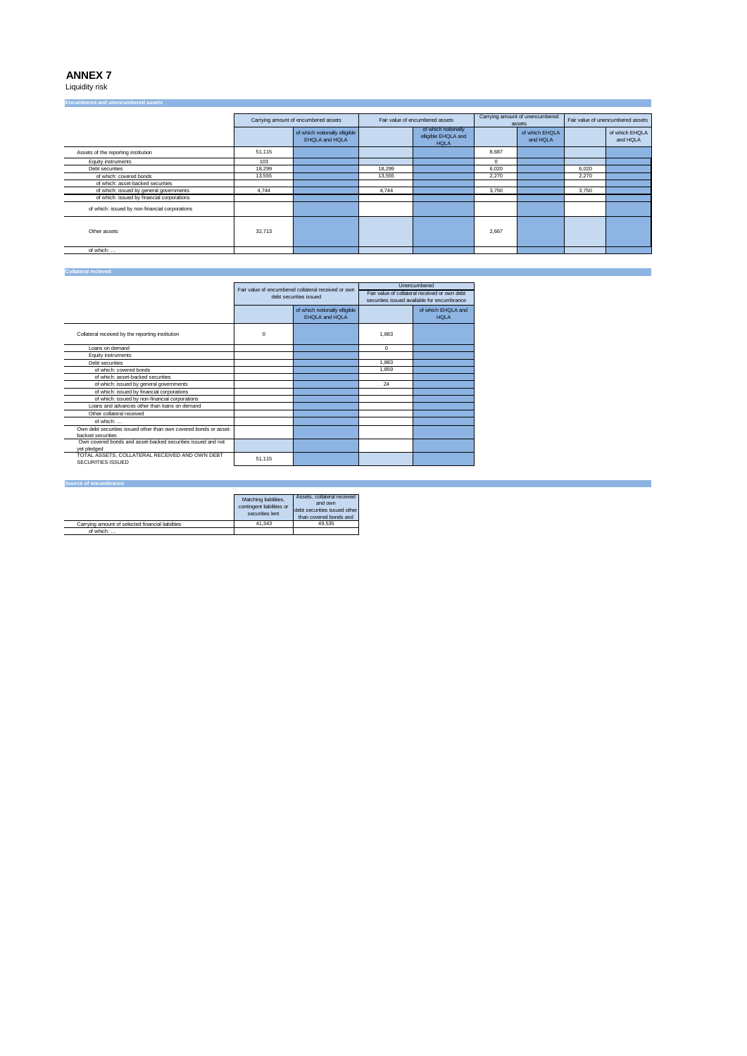Liquidity risk

| <b>Encumbered and unencumbered assets</b>      |                                      |                                                 |        |                                                           |                                           |                            |                                   |                            |
|------------------------------------------------|--------------------------------------|-------------------------------------------------|--------|-----------------------------------------------------------|-------------------------------------------|----------------------------|-----------------------------------|----------------------------|
|                                                | Carrying amount of encumbered assets |                                                 |        | Fair value of encumbered assets                           | Carrying amount of unencumbered<br>assets |                            | Fair value of unencumbered assets |                            |
|                                                |                                      | of which notionally elligible<br>EHQLA and HQLA |        | of which notionally<br>elligible EHQLA and<br><b>HQLA</b> |                                           | of which EHQLA<br>and HQLA |                                   | of which EHQLA<br>and HQLA |
| Assets of the reporting institution            | 51,115                               |                                                 |        |                                                           | 8.687                                     |                            |                                   |                            |
| Equity instruments                             | 103                                  |                                                 |        |                                                           | 0                                         |                            |                                   |                            |
| Debt securities                                | 18,299                               |                                                 | 18,299 |                                                           | 6.020                                     |                            | 6,020                             |                            |
| of which: covered bonds                        | 13.555                               |                                                 | 13.555 |                                                           | 2.270                                     |                            | 2.270                             |                            |
| of which: asset-backed securities              |                                      |                                                 |        |                                                           |                                           |                            |                                   |                            |
| of which: issued by general governments        | 4,744                                |                                                 | 4.744  |                                                           | 3.750                                     |                            | 3,750                             |                            |
| of which: issued by financial corporations     |                                      |                                                 |        |                                                           |                                           |                            |                                   |                            |
| of which: issued by non-financial corporations |                                      |                                                 |        |                                                           |                                           |                            |                                   |                            |
| Other assets                                   | 32.713                               |                                                 |        |                                                           | 2.667                                     |                            |                                   |                            |
| of which:                                      |                                      |                                                 |        |                                                           |                                           |                            |                                   |                            |

#### **Collateral recieved**

|                                                                     |                        | Fair value of encumbered collateral received or own |                                             | Unencumbered                                  |
|---------------------------------------------------------------------|------------------------|-----------------------------------------------------|---------------------------------------------|-----------------------------------------------|
|                                                                     | debt securities issued |                                                     |                                             | Fair value of collateral received or own debt |
|                                                                     |                        |                                                     | securities issued available for encumbrance |                                               |
|                                                                     |                        | of which notionally elligible<br>EHQLA and HQLA     |                                             | of which EHQLA and<br><b>HOLA</b>             |
| Collateral received by the reporting institution                    | $\Omega$               |                                                     | 1.883                                       |                                               |
| Loans on demand                                                     |                        |                                                     | $\Omega$                                    |                                               |
| Equity instruments                                                  |                        |                                                     |                                             |                                               |
| Debt securities                                                     |                        |                                                     | 1.883                                       |                                               |
| of which: covered bonds                                             |                        |                                                     | 1.859                                       |                                               |
| of which: asset-backed securities                                   |                        |                                                     |                                             |                                               |
| of which: issued by general governments                             |                        |                                                     | 24                                          |                                               |
| of which: issued by financial corporations                          |                        |                                                     |                                             |                                               |
| of which: issued by non-financial corporations                      |                        |                                                     |                                             |                                               |
| Loans and advances other than loans on demand                       |                        |                                                     |                                             |                                               |
| Other collateral received                                           |                        |                                                     |                                             |                                               |
| of which:                                                           |                        |                                                     |                                             |                                               |
| Own debt securities issued other than own covered bonds or asset-   |                        |                                                     |                                             |                                               |
| backed securities                                                   |                        |                                                     |                                             |                                               |
| Own covered bonds and asset-backed securities issued and not        |                        |                                                     |                                             |                                               |
| vet pledged                                                         |                        |                                                     |                                             |                                               |
| TOTAL ASSETS, COLLATERAL RECEIVED AND OWN DEBT<br>SECURITIES ISSUED | 51,115                 |                                                     |                                             |                                               |
|                                                                     |                        |                                                     |                                             |                                               |

#### **Source of encumbrance**

|                                                   | Matching liabilities,<br>contingent liabilities or<br>securities lent | Assets, collateral received<br>and own<br>debt securities issued other<br>than covered bonds and |
|---------------------------------------------------|-----------------------------------------------------------------------|--------------------------------------------------------------------------------------------------|
| Carrving amount of selected financial liabilities | 41.343                                                                | 49.535                                                                                           |
| of which:                                         |                                                                       |                                                                                                  |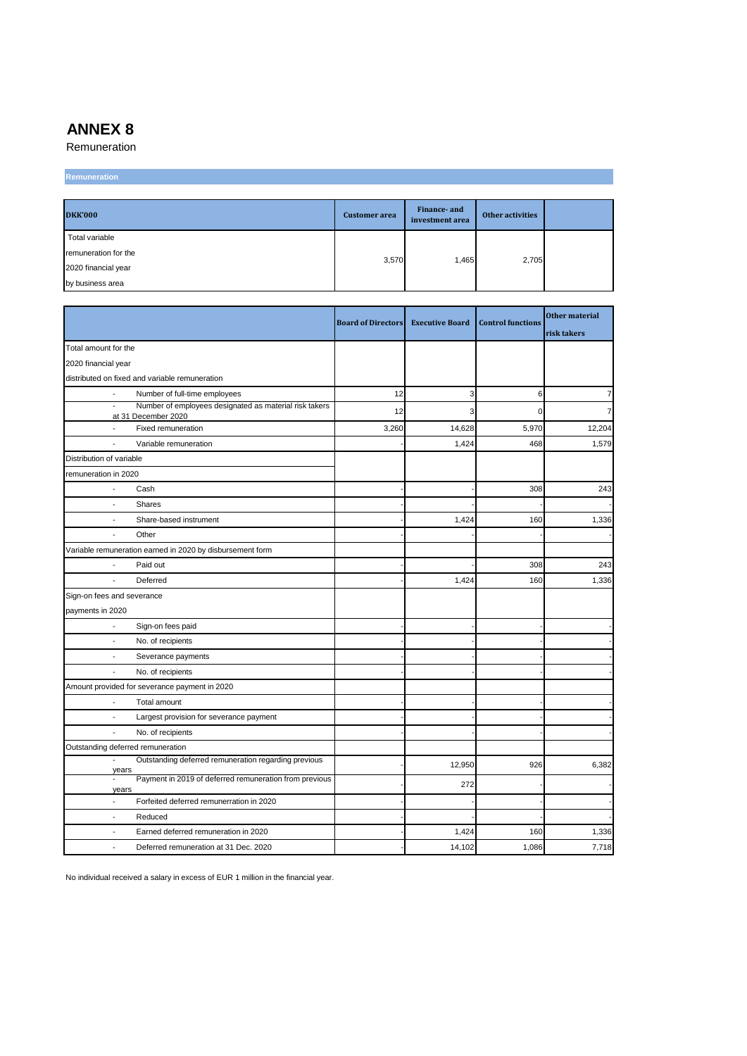Remuneration

## **Remuneration**

| <b>DKK'000</b>       | <b>Customer</b> area | Finance- and<br>investment area | <b>Other activities</b> |  |
|----------------------|----------------------|---------------------------------|-------------------------|--|
| Total variable       |                      |                                 |                         |  |
| remuneration for the | 3,570                | 1.465                           | 2,705                   |  |
| 2020 financial year  |                      |                                 |                         |  |
| by business area     |                      |                                 |                         |  |

|                                                                                                           | <b>Board of Directors</b> | <b>Executive Board</b> | <b>Control functions</b> | Other material<br>risk takers |
|-----------------------------------------------------------------------------------------------------------|---------------------------|------------------------|--------------------------|-------------------------------|
| Total amount for the                                                                                      |                           |                        |                          |                               |
| 2020 financial year                                                                                       |                           |                        |                          |                               |
| distributed on fixed and variable remuneration                                                            |                           |                        |                          |                               |
| Number of full-time employees                                                                             | 12                        | 3                      | 6                        | $\overline{7}$                |
| Number of employees designated as material risk takers<br>$\overline{\phantom{a}}$<br>at 31 December 2020 | 12                        | 3                      | $\Omega$                 | $\overline{7}$                |
| $\overline{\phantom{a}}$<br>Fixed remuneration                                                            | 3,260                     | 14,628                 | 5,970                    | 12,204                        |
| Variable remuneration<br>$\overline{\phantom{a}}$                                                         |                           | 1,424                  | 468                      | 1,579                         |
| Distribution of variable                                                                                  |                           |                        |                          |                               |
| remuneration in 2020                                                                                      |                           |                        |                          |                               |
| Cash<br>$\overline{\phantom{a}}$                                                                          |                           |                        | 308                      | 243                           |
| Shares<br>$\overline{a}$                                                                                  |                           |                        |                          |                               |
| Share-based instrument                                                                                    |                           | 1,424                  | 160                      | 1,336                         |
| Other                                                                                                     |                           |                        |                          |                               |
| Variable remuneration earned in 2020 by disbursement form                                                 |                           |                        |                          |                               |
| Paid out                                                                                                  |                           |                        | 308                      | 243                           |
| Deferred                                                                                                  |                           | 1,424                  | 160                      | 1,336                         |
| Sign-on fees and severance                                                                                |                           |                        |                          |                               |
| payments in 2020                                                                                          |                           |                        |                          |                               |
| Sign-on fees paid<br>$\overline{\phantom{a}}$                                                             |                           |                        |                          |                               |
| $\blacksquare$<br>No. of recipients                                                                       |                           |                        |                          |                               |
| Severance payments<br>$\overline{a}$                                                                      |                           |                        |                          |                               |
| No. of recipients<br>$\overline{a}$                                                                       |                           |                        |                          |                               |
| Amount provided for severance payment in 2020                                                             |                           |                        |                          |                               |
| $\overline{\phantom{a}}$<br>Total amount                                                                  |                           |                        |                          |                               |
| Largest provision for severance payment<br>÷,                                                             |                           |                        |                          |                               |
| $\overline{\phantom{a}}$<br>No. of recipients                                                             |                           |                        |                          |                               |
| Outstanding deferred remuneration                                                                         |                           |                        |                          |                               |
| Outstanding deferred remuneration regarding previous<br>$\overline{\phantom{a}}$                          |                           | 12,950                 | 926                      | 6,382                         |
| years<br>Payment in 2019 of deferred remuneration from previous<br>$\overline{\phantom{a}}$<br>years      |                           | 272                    |                          |                               |
| Forfeited deferred remunerration in 2020<br>$\overline{\phantom{a}}$                                      |                           |                        |                          |                               |
| Reduced<br>$\overline{\phantom{a}}$                                                                       |                           |                        |                          |                               |
| Earned deferred remuneration in 2020<br>$\overline{\phantom{a}}$                                          |                           | 1,424                  | 160                      | 1,336                         |
| Deferred remuneration at 31 Dec. 2020<br>$\overline{\phantom{a}}$                                         |                           | 14,102                 | 1,086                    | 7,718                         |

No individual received a salary in excess of EUR 1 million in the financial year.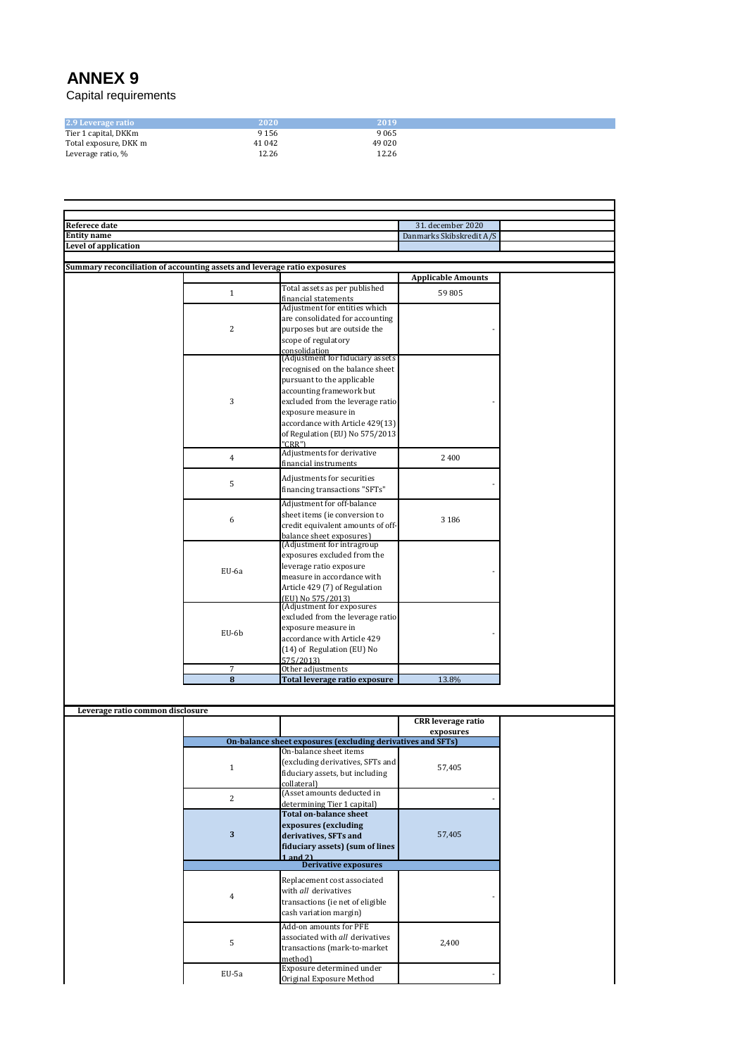| 2.9 Leverage ratio    | 2020    | 2019    |
|-----------------------|---------|---------|
| Tier 1 capital, DKKm  | 9 1 5 6 | 9065    |
| Total exposure, DKK m | 41 0 42 | 49 0 20 |
| Leverage ratio, %     | 12.26   | 12.26   |

| Referece date                                                            |                |                                                             | 31. december 2020         |  |
|--------------------------------------------------------------------------|----------------|-------------------------------------------------------------|---------------------------|--|
| <b>Entity name</b>                                                       |                |                                                             | Danmarks Skibskredit A/S  |  |
| <b>Level of application</b>                                              |                |                                                             |                           |  |
|                                                                          |                |                                                             |                           |  |
| Summary reconciliation of accounting assets and leverage ratio exposures |                |                                                             |                           |  |
|                                                                          |                |                                                             | <b>Applicable Amounts</b> |  |
|                                                                          | $\mathbf{1}$   | Total assets as per published                               | 59805                     |  |
|                                                                          |                | financial statements                                        |                           |  |
|                                                                          |                | Adjustment for entities which                               |                           |  |
|                                                                          |                | are consolidated for accounting                             |                           |  |
|                                                                          | 2              | purposes but are outside the                                |                           |  |
|                                                                          |                | scope of regulatory                                         |                           |  |
|                                                                          |                | consolidation                                               |                           |  |
|                                                                          |                | (Adjustment for fiduciary assets                            |                           |  |
|                                                                          |                | recognised on the balance sheet                             |                           |  |
|                                                                          |                | pursuant to the applicable                                  |                           |  |
|                                                                          |                | accounting framework but                                    |                           |  |
|                                                                          |                |                                                             |                           |  |
|                                                                          | 3              | excluded from the leverage ratio                            |                           |  |
|                                                                          |                | exposure measure in                                         |                           |  |
|                                                                          |                | accordance with Article 429(13)                             |                           |  |
|                                                                          |                | of Regulation (EU) No 575/2013                              |                           |  |
|                                                                          |                | "CRR")                                                      |                           |  |
|                                                                          | $\overline{4}$ | Adjustments for derivative                                  | 2 4 0 0                   |  |
|                                                                          |                | financial instruments                                       |                           |  |
|                                                                          |                | Adjustments for securities                                  |                           |  |
|                                                                          | 5              |                                                             |                           |  |
|                                                                          |                | financing transactions "SFTs"                               |                           |  |
|                                                                          |                | Adjustment for off-balance                                  |                           |  |
|                                                                          |                | sheet items (ie conversion to                               |                           |  |
|                                                                          | 6              | credit equivalent amounts of off-                           | 3 1 8 6                   |  |
|                                                                          |                | balance sheet exposures)                                    |                           |  |
|                                                                          |                | (Adjustment for intragroup)                                 |                           |  |
|                                                                          |                | exposures excluded from the                                 |                           |  |
|                                                                          |                | leverage ratio exposure                                     |                           |  |
|                                                                          | EU-6a          | measure in accordance with                                  |                           |  |
|                                                                          |                | Article 429 (7) of Regulation                               |                           |  |
|                                                                          |                | (EU) No 575/2013)                                           |                           |  |
|                                                                          |                | (Adjustment for exposures                                   |                           |  |
|                                                                          |                | excluded from the leverage ratio                            |                           |  |
|                                                                          |                | exposure measure in                                         |                           |  |
|                                                                          |                |                                                             |                           |  |
|                                                                          | EU-6b          |                                                             |                           |  |
|                                                                          |                | accordance with Article 429                                 |                           |  |
|                                                                          |                | (14) of Regulation (EU) No                                  |                           |  |
|                                                                          |                | 575/2013)                                                   |                           |  |
|                                                                          | 7              | Other adjustments                                           |                           |  |
|                                                                          | 8              | Total leverage ratio exposure                               | 13.8%                     |  |
|                                                                          |                |                                                             |                           |  |
|                                                                          |                |                                                             |                           |  |
| Leverage ratio common disclosure                                         |                |                                                             | <b>CRR</b> leverage ratio |  |
|                                                                          |                |                                                             | exposures                 |  |
|                                                                          |                | On-balance sheet exposures (excluding derivatives and SFTs) |                           |  |
|                                                                          |                | On-balance sheet items                                      |                           |  |
|                                                                          |                | (excluding derivatives, SFTs and                            |                           |  |
|                                                                          | $\mathbf{1}$   | fiduciary assets, but including                             | 57,405                    |  |
|                                                                          |                |                                                             |                           |  |
|                                                                          |                | collateral)                                                 |                           |  |
|                                                                          | 2              | (Asset amounts deducted in                                  |                           |  |
|                                                                          |                | determining Tier 1 capital)                                 |                           |  |
|                                                                          |                | <b>Total on-balance sheet</b>                               |                           |  |
|                                                                          |                | exposures (excluding                                        |                           |  |
|                                                                          | $\sqrt{3}$     | derivatives, SFTs and                                       | 57,405                    |  |
|                                                                          |                | fiduciary assets) (sum of lines                             |                           |  |
|                                                                          |                | $1$ and $21$                                                |                           |  |
|                                                                          |                | <b>Derivative exposures</b>                                 |                           |  |
|                                                                          |                | Replacement cost associated                                 |                           |  |
|                                                                          |                | with all derivatives                                        |                           |  |
|                                                                          | $\overline{4}$ | transactions (ie net of eligible                            |                           |  |
|                                                                          |                |                                                             |                           |  |
|                                                                          |                | cash variation margin)                                      |                           |  |
|                                                                          |                | Add-on amounts for PFE                                      |                           |  |
|                                                                          |                | associated with all derivatives                             |                           |  |
|                                                                          | 5              | transactions (mark-to-market                                | 2,400                     |  |
|                                                                          |                | method)                                                     |                           |  |
|                                                                          |                | Exposure determined under                                   |                           |  |
|                                                                          | EU-5a          | Original Exposure Method                                    |                           |  |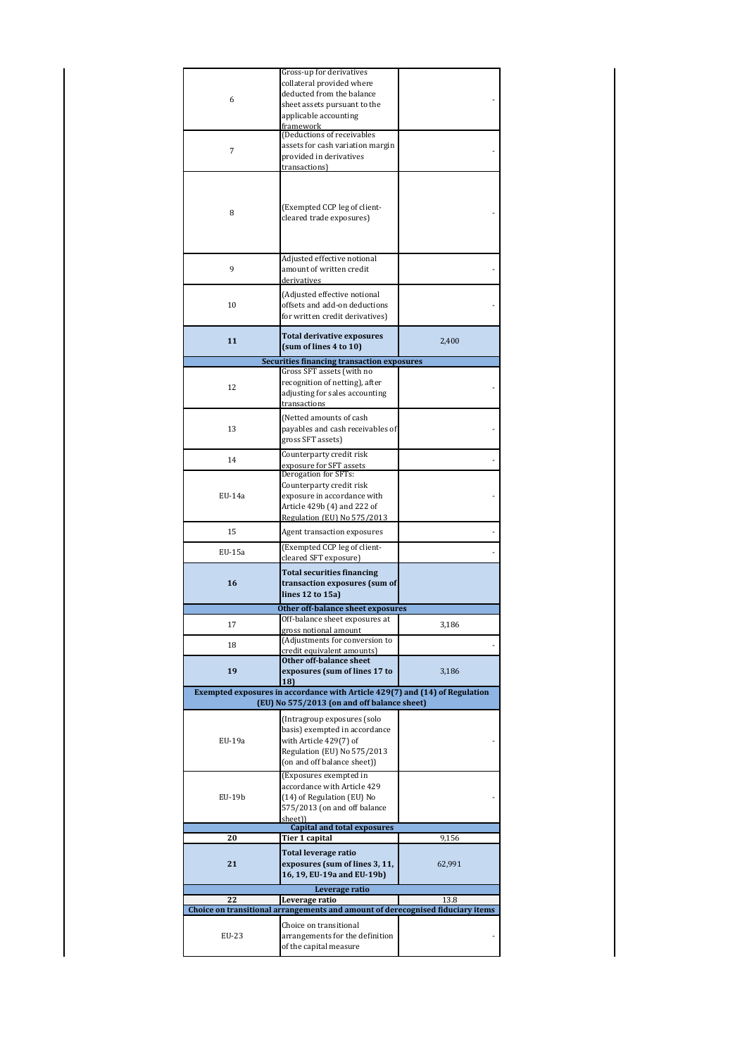|        | Gross-up for derivatives                                                       |        |
|--------|--------------------------------------------------------------------------------|--------|
|        | collateral provided where                                                      |        |
| 6      | deducted from the balance                                                      |        |
|        | sheet assets pursuant to the                                                   |        |
|        | applicable accounting<br>framework                                             |        |
|        | (Deductions of receivables                                                     |        |
| 7      | assets for cash variation margin                                               |        |
|        | provided in derivatives                                                        |        |
|        | transactions)                                                                  |        |
|        |                                                                                |        |
|        |                                                                                |        |
| 8      | (Exempted CCP leg of client-                                                   |        |
|        | cleared trade exposures)                                                       |        |
|        |                                                                                |        |
|        |                                                                                |        |
|        | Adjusted effective notional                                                    |        |
| 9      | amount of written credit                                                       |        |
|        | derivatives                                                                    |        |
|        | (Adjusted effective notional                                                   |        |
| 10     | offsets and add-on deductions                                                  |        |
|        | for written credit derivatives)                                                |        |
|        |                                                                                |        |
| 11     | <b>Total derivative exposures</b>                                              | 2,400  |
|        | (sum of lines 4 to 10)                                                         |        |
|        | <b>Securities financing transaction exposures</b>                              |        |
|        | Gross SFT assets (with no<br>recognition of netting), after                    |        |
| 12     | adjusting for sales accounting                                                 |        |
|        | transactions                                                                   |        |
|        | (Netted amounts of cash                                                        |        |
| 13     | payables and cash receivables of                                               |        |
|        | gross SFT assets)                                                              |        |
|        | Counterparty credit risk                                                       |        |
| 14     | exposure for SFT assets                                                        |        |
|        | Derogation for SFTs:                                                           |        |
|        | Counterparty credit risk                                                       |        |
| EU-14a | exposure in accordance with                                                    |        |
|        | Article 429b (4) and 222 of                                                    |        |
|        | Regulation (EU) No 575/2013                                                    |        |
| 15     | Agent transaction exposures                                                    |        |
|        |                                                                                |        |
|        |                                                                                |        |
| EU-15a | (Exempted CCP leg of client-<br>cleared SFT exposure)                          |        |
|        |                                                                                |        |
| 16     | <b>Total securities financing</b><br>transaction exposures (sum of             |        |
|        | lines 12 to 15a)                                                               |        |
|        | Other off-balance sheet exposures                                              |        |
|        | Off-balance sheet exposures at                                                 |        |
| 17     | <u>gross notional amount</u>                                                   | 3,186  |
| 18     | (Adjustments for conversion to                                                 |        |
|        | credit equivalent amounts)<br>Other off-balance sheet                          |        |
| 19     | exposures (sum of lines 17 to                                                  | 3,186  |
|        | 18                                                                             |        |
|        | Exempted exposures in accordance with Article 429(7) and (14) of Regulation    |        |
|        | (EU) No 575/2013 (on and off balance sheet)                                    |        |
|        | (Intragroup exposures (solo                                                    |        |
|        | basis) exempted in accordance                                                  |        |
| EU-19a | with Article 429(7) of                                                         |        |
|        | Regulation (EU) No 575/2013                                                    |        |
|        | (on and off balance sheet))                                                    |        |
|        | (Exposures exempted in                                                         |        |
|        | accordance with Article 429                                                    |        |
| EU-19b | (14) of Regulation (EU) No                                                     |        |
|        | 575/2013 (on and off balance<br>sheet))                                        |        |
|        | <b>Capital and total exposures</b>                                             |        |
| 20     | Tier 1 capital                                                                 | 9,156  |
|        | <b>Total leverage ratio</b>                                                    |        |
| 21     | exposures (sum of lines 3, 11,                                                 | 62,991 |
|        | 16, 19, EU-19a and EU-19b)                                                     |        |
|        | Leverage ratio                                                                 |        |
| 22     | Leverage ratio                                                                 | 13.8   |
|        | Choice on transitional arrangements and amount of derecognised fiduciary items |        |
|        | Choice on transitional                                                         |        |
| EU-23  | arrangements for the definition<br>of the capital measure                      |        |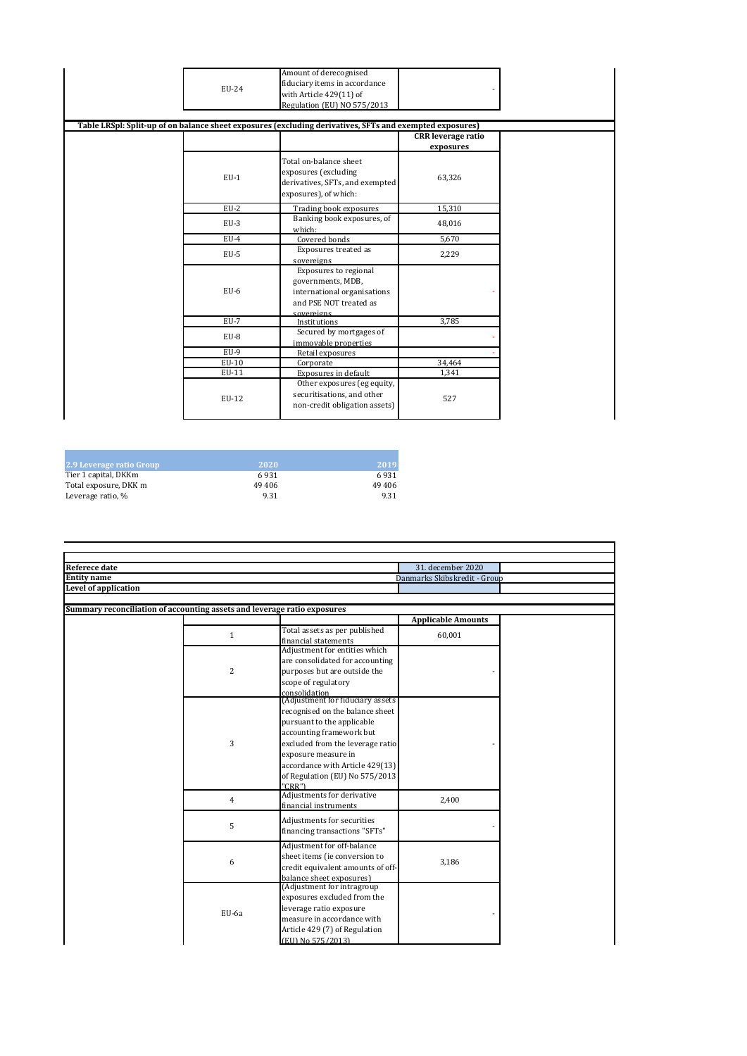| EU-24  | Amount of derecognised<br>fiduciary items in accordance<br>with Article 429(11) of<br>Regulation (EU) NO 575/2013<br>Table LRSpl: Split-up of on balance sheet exposures (excluding derivatives, SFTs and exempted exposures) |                                        |  |
|--------|-------------------------------------------------------------------------------------------------------------------------------------------------------------------------------------------------------------------------------|----------------------------------------|--|
|        |                                                                                                                                                                                                                               | <b>CRR</b> leverage ratio<br>exposures |  |
| $EU-1$ | Total on-balance sheet<br>exposures (excluding<br>derivatives, SFTs, and exempted<br>exposures), of which:                                                                                                                    | 63,326                                 |  |
| $EU-2$ | Trading book exposures                                                                                                                                                                                                        | 15,310                                 |  |
| $EU-3$ | Banking book exposures, of<br>which:                                                                                                                                                                                          | 48,016                                 |  |
| $EU-4$ | Covered bonds                                                                                                                                                                                                                 | 5,670                                  |  |
| $EU-5$ | Exposures treated as<br>sovereigns                                                                                                                                                                                            | 2,229                                  |  |
| $EU-6$ | Exposures to regional<br>governments, MDB,<br>international organisations<br>and PSE NOT treated as<br>sovereigns                                                                                                             |                                        |  |
| $EU-7$ | Institutions                                                                                                                                                                                                                  | 3,785                                  |  |
| EU-8   | Secured by mortgages of<br>immovable properties                                                                                                                                                                               |                                        |  |
| $EU-9$ | Retail exposures                                                                                                                                                                                                              |                                        |  |
| EU-10  | Corporate                                                                                                                                                                                                                     | 34,464                                 |  |
| EU-11  | Exposures in default                                                                                                                                                                                                          | 1,341                                  |  |
| EU-12  | Other exposures (eg equity,<br>securitisations, and other<br>non-credit obligation assets)                                                                                                                                    | 527                                    |  |

| 2.9 Leverage ratio Group | 2020   | 2019   |
|--------------------------|--------|--------|
| Tier 1 capital, DKKm     | 6931   | 6931   |
| Total exposure, DKK m    | 49 406 | 49 406 |
| Leverage ratio, %        | 9.31   | 9.31   |

| Referece date                                                            |                |                                                        | 31. december 2020            |  |
|--------------------------------------------------------------------------|----------------|--------------------------------------------------------|------------------------------|--|
| <b>Entity</b> name                                                       |                |                                                        | Danmarks Skibskredit - Group |  |
| <b>Level of application</b>                                              |                |                                                        |                              |  |
|                                                                          |                |                                                        |                              |  |
| Summary reconciliation of accounting assets and leverage ratio exposures |                |                                                        |                              |  |
|                                                                          |                |                                                        | <b>Applicable Amounts</b>    |  |
|                                                                          | $\mathbf{1}$   | Total assets as per published                          | 60,001                       |  |
|                                                                          |                | financial statements                                   |                              |  |
|                                                                          |                | Adjustment for entities which                          |                              |  |
|                                                                          |                | are consolidated for accounting                        |                              |  |
|                                                                          | $\overline{2}$ | purposes but are outside the                           |                              |  |
|                                                                          |                | scope of regulatory                                    |                              |  |
|                                                                          |                | consolidation<br>(Adjustment for fiduciary assets      |                              |  |
|                                                                          |                | recognised on the balance sheet                        |                              |  |
|                                                                          |                | pursuant to the applicable                             |                              |  |
|                                                                          |                | accounting framework but                               |                              |  |
|                                                                          | 3              | excluded from the leverage ratio                       |                              |  |
|                                                                          |                | exposure measure in                                    |                              |  |
|                                                                          |                | accordance with Article 429(13)                        |                              |  |
|                                                                          |                | of Regulation (EU) No 575/2013                         |                              |  |
|                                                                          |                | "CRR")                                                 |                              |  |
|                                                                          |                | Adjustments for derivative                             |                              |  |
|                                                                          | 4              | financial instruments                                  | 2,400                        |  |
|                                                                          |                | Adjustments for securities                             |                              |  |
|                                                                          | 5              | financing transactions "SFTs"                          |                              |  |
|                                                                          |                |                                                        |                              |  |
|                                                                          |                | Adjustment for off-balance                             |                              |  |
|                                                                          | 6              | sheet items (ie conversion to                          | 3,186                        |  |
|                                                                          |                | credit equivalent amounts of off-                      |                              |  |
|                                                                          |                | balance sheet exposures)<br>(Adjustment for intragroup |                              |  |
|                                                                          |                | exposures excluded from the                            |                              |  |
|                                                                          |                | leverage ratio exposure                                |                              |  |
|                                                                          | EU-6a          | measure in accordance with                             |                              |  |
|                                                                          |                | Article 429 (7) of Regulation                          |                              |  |
|                                                                          |                | (EU) No 575/2013)                                      |                              |  |
|                                                                          |                |                                                        |                              |  |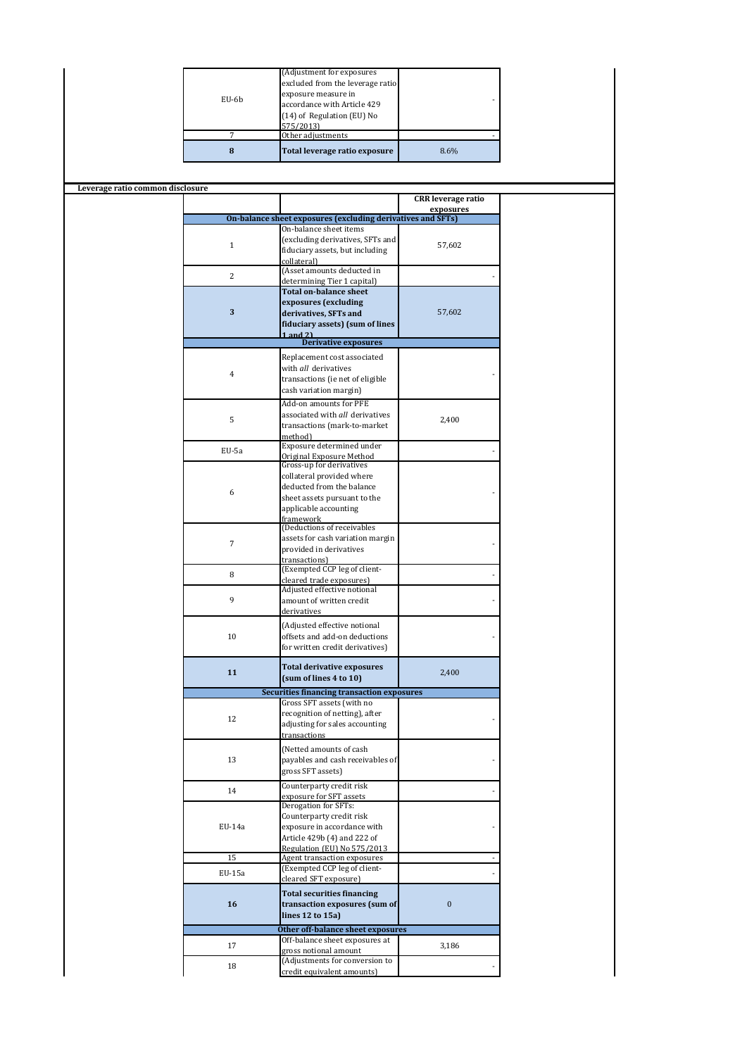|                                  |                | (Adjustment for exposures                                   |                           |  |
|----------------------------------|----------------|-------------------------------------------------------------|---------------------------|--|
|                                  |                | excluded from the leverage ratio                            |                           |  |
|                                  |                | exposure measure in                                         |                           |  |
|                                  | EU-6b          | accordance with Article 429                                 |                           |  |
|                                  |                | (14) of Regulation (EU) No                                  |                           |  |
|                                  |                | 575/2013)                                                   |                           |  |
|                                  | $\overline{7}$ | Other adjustments                                           |                           |  |
|                                  |                |                                                             |                           |  |
|                                  | 8              | Total leverage ratio exposure                               | 8.6%                      |  |
|                                  |                |                                                             |                           |  |
|                                  |                |                                                             |                           |  |
| Leverage ratio common disclosure |                |                                                             |                           |  |
|                                  |                |                                                             | <b>CRR</b> leverage ratio |  |
|                                  |                | On-balance sheet exposures (excluding derivatives and SFTs) | exposures                 |  |
|                                  |                | On-balance sheet items                                      |                           |  |
|                                  |                | (excluding derivatives, SFTs and                            |                           |  |
|                                  | $\mathbf{1}$   | fiduciary assets, but including                             | 57,602                    |  |
|                                  |                | collateral)                                                 |                           |  |
|                                  |                | (Asset amounts deducted in                                  |                           |  |
|                                  | 2              | determining Tier 1 capital)                                 |                           |  |
|                                  |                | <b>Total on-balance sheet</b>                               |                           |  |
|                                  |                | exposures (excluding                                        |                           |  |
|                                  | 3              | derivatives, SFTs and                                       | 57,602                    |  |
|                                  |                | fiduciary assets) (sum of lines                             |                           |  |
|                                  |                | $1$ and $21$                                                |                           |  |
|                                  |                | <b>Derivative exposures</b>                                 |                           |  |
|                                  |                | Replacement cost associated                                 |                           |  |
|                                  |                | with all derivatives                                        |                           |  |
|                                  | $\overline{4}$ | transactions (ie net of eligible                            |                           |  |
|                                  |                | cash variation margin)                                      |                           |  |
|                                  |                |                                                             |                           |  |
|                                  |                | Add-on amounts for PFE                                      |                           |  |
|                                  | 5              | associated with all derivatives                             | 2,400                     |  |
|                                  |                | transactions (mark-to-market                                |                           |  |
|                                  |                | method)                                                     |                           |  |
|                                  | EU-5a          | Exposure determined under                                   |                           |  |
|                                  |                | Original Exposure Method<br>Gross-up for derivatives        |                           |  |
|                                  |                | collateral provided where                                   |                           |  |
|                                  |                | deducted from the balance                                   |                           |  |
|                                  | 6              | sheet assets pursuant to the                                |                           |  |
|                                  |                | applicable accounting                                       |                           |  |
|                                  |                | framework                                                   |                           |  |
|                                  |                | (Deductions of receivables                                  |                           |  |
|                                  |                | assets for cash variation margin                            |                           |  |
|                                  | $\overline{7}$ | provided in derivatives                                     |                           |  |
|                                  |                | transactions)                                               |                           |  |
|                                  | 8              | (Exempted CCP leg of client-                                |                           |  |
|                                  |                | cleared trade exposures)                                    |                           |  |
|                                  |                | Adjusted effective notional                                 |                           |  |
|                                  | 9              | amount of written credit                                    |                           |  |
|                                  |                | derivatives                                                 |                           |  |
|                                  |                | (Adjusted effective notional                                |                           |  |
|                                  | $10\,$         | offsets and add-on deductions                               |                           |  |
|                                  |                | for written credit derivatives)                             |                           |  |
|                                  |                |                                                             |                           |  |
|                                  | 11             | <b>Total derivative exposures</b>                           | 2,400                     |  |
|                                  |                | (sum of lines 4 to 10)                                      |                           |  |
|                                  |                | <b>Securities financing transaction exposures</b>           |                           |  |
|                                  |                | Gross SFT assets (with no                                   |                           |  |
|                                  |                | recognition of netting), after                              |                           |  |
|                                  | 12             | adjusting for sales accounting                              |                           |  |
|                                  |                | transactions                                                |                           |  |
|                                  |                | (Netted amounts of cash                                     |                           |  |
|                                  | 13             | payables and cash receivables of                            |                           |  |
|                                  |                | gross SFT assets)                                           |                           |  |
|                                  |                |                                                             |                           |  |
|                                  | 14             | Counterparty credit risk                                    |                           |  |
|                                  |                | exposure for SFT assets<br>Derogation for SFTs:             |                           |  |
|                                  |                |                                                             |                           |  |
|                                  |                | Counterparty credit risk                                    |                           |  |
|                                  | EU-14a         | exposure in accordance with                                 |                           |  |
|                                  |                | Article 429b (4) and 222 of                                 |                           |  |
|                                  | 15             | Regulation (EU) No 575/2013<br>Agent transaction exposures  |                           |  |
|                                  |                | (Exempted CCP leg of client-                                |                           |  |
|                                  | EU-15a         | cleared SFT exposure)                                       |                           |  |
|                                  |                |                                                             |                           |  |
|                                  |                | <b>Total securities financing</b>                           |                           |  |
|                                  |                |                                                             | $\pmb{0}$                 |  |
|                                  | 16             | transaction exposures (sum of                               |                           |  |
|                                  |                | lines 12 to 15a)                                            |                           |  |
|                                  |                | Other off-balance sheet exposures                           |                           |  |
|                                  |                | Off-balance sheet exposures at                              |                           |  |
|                                  | 17             | gross notional amount                                       | 3,186                     |  |
|                                  |                | (Adjustments for conversion to                              |                           |  |
|                                  | 18             | credit equivalent amounts)                                  |                           |  |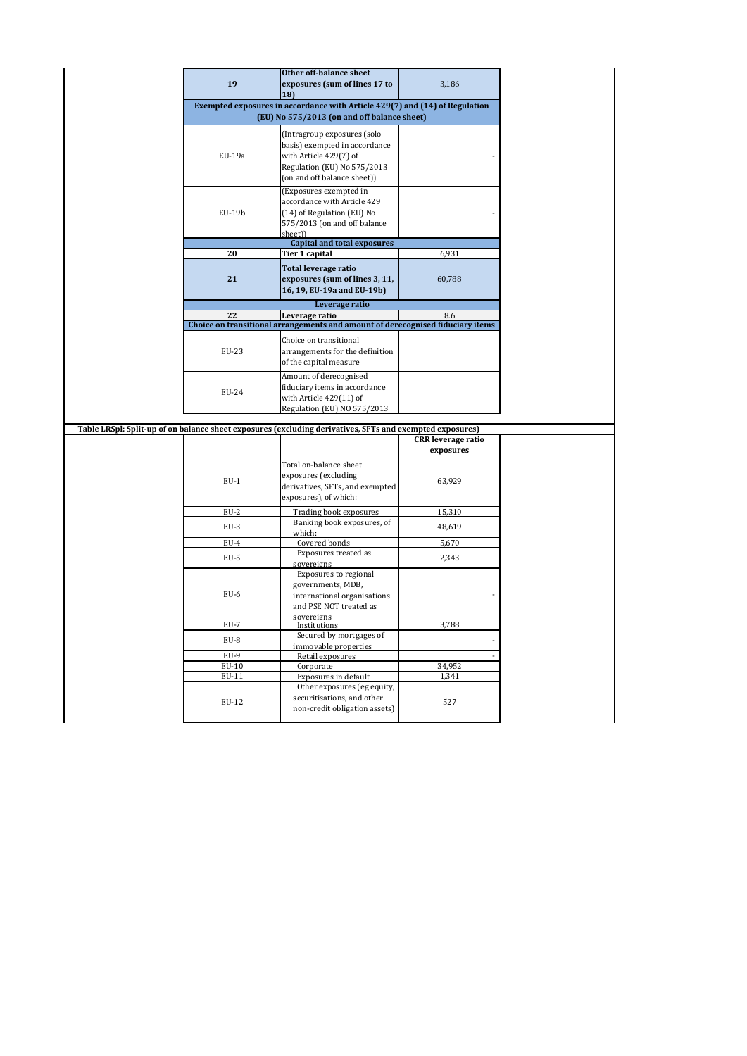|        | Other off-balance sheet                                                                                  |                           |  |
|--------|----------------------------------------------------------------------------------------------------------|---------------------------|--|
| 19     | exposures (sum of lines 17 to                                                                            | 3,186                     |  |
|        | 18)                                                                                                      |                           |  |
|        | Exempted exposures in accordance with Article 429(7) and (14) of Regulation                              |                           |  |
|        | (EU) No 575/2013 (on and off balance sheet)                                                              |                           |  |
|        | (Intragroup exposures (solo                                                                              |                           |  |
|        | basis) exempted in accordance                                                                            |                           |  |
| EU-19a | with Article 429(7) of                                                                                   |                           |  |
|        | Regulation (EU) No 575/2013                                                                              |                           |  |
|        | (on and off balance sheet))                                                                              |                           |  |
|        | (Exposures exempted in                                                                                   |                           |  |
|        | accordance with Article 429                                                                              |                           |  |
| EU-19b |                                                                                                          |                           |  |
|        | (14) of Regulation (EU) No<br>575/2013 (on and off balance                                               |                           |  |
|        | sheet))                                                                                                  |                           |  |
|        | <b>Capital and total exposures</b>                                                                       |                           |  |
| 20     | Tier 1 capital                                                                                           | 6,931                     |  |
|        |                                                                                                          |                           |  |
| 21     | Total leverage ratio<br>exposures (sum of lines 3, 11,                                                   | 60,788                    |  |
|        | 16, 19, EU-19a and EU-19b)                                                                               |                           |  |
|        |                                                                                                          |                           |  |
|        | Leverage ratio                                                                                           |                           |  |
| 22     | Leverage ratio                                                                                           | 8.6                       |  |
|        | Choice on transitional arrangements and amount of derecognised fiduciary items                           |                           |  |
|        | Choice on transitional                                                                                   |                           |  |
| EU-23  | arrangements for the definition                                                                          |                           |  |
|        | of the capital measure                                                                                   |                           |  |
|        | Amount of derecognised                                                                                   |                           |  |
|        | fiduciary items in accordance                                                                            |                           |  |
|        |                                                                                                          |                           |  |
| EU-24  | with Article 429(11) of                                                                                  |                           |  |
|        | Regulation (EU) NO 575/2013                                                                              |                           |  |
|        |                                                                                                          |                           |  |
|        | Table LRSpl: Split-up of on balance sheet exposures (excluding derivatives, SFTs and exempted exposures) |                           |  |
|        |                                                                                                          | <b>CRR</b> leverage ratio |  |
|        |                                                                                                          | exposures                 |  |
|        | Total on-balance sheet                                                                                   |                           |  |
| $EU-1$ | exposures (excluding                                                                                     | 63,929                    |  |
|        | derivatives, SFTs, and exempted                                                                          |                           |  |
|        | exposures), of which:                                                                                    |                           |  |
| $EU-2$ | Trading book exposures                                                                                   | 15,310                    |  |
| $EU-3$ | Banking book exposures, of                                                                               |                           |  |
|        | which:                                                                                                   | 48,619                    |  |
| $EU-4$ | Covered bonds                                                                                            | 5,670                     |  |
| $EU-5$ | Exposures treated as                                                                                     | 2,343                     |  |
|        | sovereigns                                                                                               |                           |  |
|        | Exposures to regional                                                                                    |                           |  |
| $EU-6$ | governments, MDB,                                                                                        |                           |  |
|        | international organisations                                                                              |                           |  |
|        | and PSE NOT treated as<br>sovereigns                                                                     |                           |  |
| EU-7   | Institutions                                                                                             | 3,788                     |  |
|        | Secured by mortgages of                                                                                  |                           |  |
| EU-8   | immovable properties                                                                                     |                           |  |
| $EU-9$ | Retail exposures                                                                                         |                           |  |
| EU-10  | Corporate                                                                                                | 34,952                    |  |
| EU-11  | Exposures in default                                                                                     | 1,341                     |  |
|        | Other exposures (eg equity,                                                                              |                           |  |
| EU-12  | securitisations, and other                                                                               | 527                       |  |
|        | non-credit obligation assets)                                                                            |                           |  |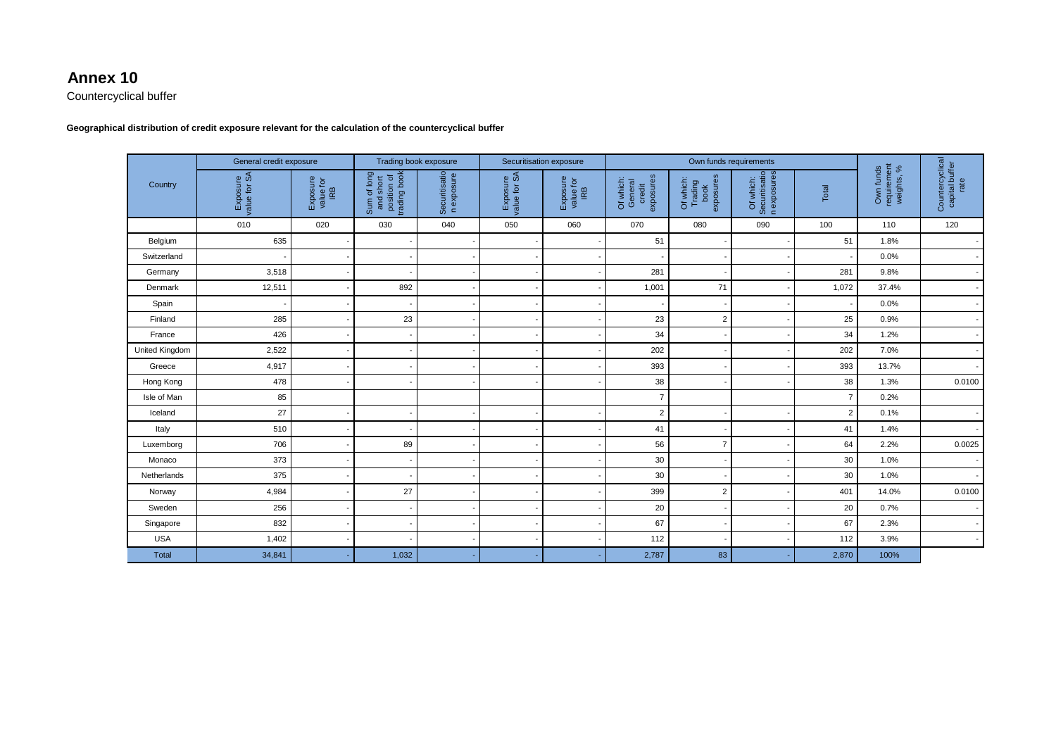## **Annex 10**

Countercyclical buffer

**Geographical distribution of credit exposure relevant for the calculation of the countercyclical buffer** 

|                | General credit exposure  |                             | Trading book exposure                                   |                             | Securitisation exposure              |                              | Own funds requirements                      |                                           |                                           |                |                                        |                                           |
|----------------|--------------------------|-----------------------------|---------------------------------------------------------|-----------------------------|--------------------------------------|------------------------------|---------------------------------------------|-------------------------------------------|-------------------------------------------|----------------|----------------------------------------|-------------------------------------------|
| Country        | Exposure<br>value for SA | Exposure<br>value for<br>RB | position of<br>trading book<br>Sum of long<br>and short | Securitisatio<br>n exposure | Exposure<br>alue for SA<br>value for | Exposure<br>value for<br>IRB | credit<br>exposures<br>Of which:<br>General | Trading<br>book<br>exposures<br>Of which: | Of which:<br>Securitisatio<br>n exposures | Total          | Own funds<br>requirement<br>weights, % | Countercyclical<br>capital buffer<br>rate |
|                | 010                      | 020                         | 030                                                     | 040                         | 050                                  | 060                          | 070                                         | 080                                       | 090                                       | 100            | 110                                    | 120                                       |
| Belgium        | 635                      |                             |                                                         |                             |                                      |                              | 51                                          |                                           |                                           | 51             | 1.8%                                   |                                           |
| Switzerland    |                          |                             |                                                         |                             |                                      |                              |                                             |                                           |                                           |                | 0.0%                                   |                                           |
| Germany        | 3,518                    |                             |                                                         |                             |                                      |                              | 281                                         |                                           |                                           | 281            | 9.8%                                   |                                           |
| Denmark        | 12,511                   |                             | 892                                                     |                             |                                      |                              | 1,001                                       | 71                                        |                                           | 1,072          | 37.4%                                  |                                           |
| Spain          |                          |                             |                                                         |                             |                                      |                              |                                             |                                           |                                           |                | 0.0%                                   |                                           |
| Finland        | 285                      |                             | 23                                                      |                             |                                      |                              | 23                                          | $\overline{2}$                            |                                           | 25             | 0.9%                                   |                                           |
| France         | 426                      |                             |                                                         |                             |                                      |                              | 34                                          |                                           |                                           | 34             | 1.2%                                   |                                           |
| United Kingdom | 2,522                    |                             |                                                         |                             |                                      |                              | 202                                         |                                           |                                           | 202            | 7.0%                                   |                                           |
| Greece         | 4,917                    |                             |                                                         |                             |                                      |                              | 393                                         |                                           |                                           | 393            | 13.7%                                  |                                           |
| Hong Kong      | 478                      |                             |                                                         |                             |                                      |                              | 38                                          |                                           |                                           | 38             | 1.3%                                   | 0.0100                                    |
| Isle of Man    | 85                       |                             |                                                         |                             |                                      |                              | $\overline{7}$                              |                                           |                                           | $\overline{7}$ | 0.2%                                   |                                           |
| Iceland        | 27                       |                             |                                                         |                             |                                      |                              | $\overline{2}$                              |                                           |                                           | $\overline{2}$ | 0.1%                                   |                                           |
| Italy          | 510                      |                             |                                                         |                             |                                      |                              | 41                                          |                                           |                                           | 41             | 1.4%                                   |                                           |
| Luxemborg      | 706                      |                             | 89                                                      |                             |                                      |                              | 56                                          | $\overline{7}$                            |                                           | 64             | 2.2%                                   | 0.0025                                    |
| Monaco         | 373                      |                             |                                                         |                             |                                      |                              | 30                                          |                                           |                                           | 30             | 1.0%                                   |                                           |
| Netherlands    | 375                      |                             |                                                         |                             |                                      |                              | 30                                          |                                           |                                           | 30             | 1.0%                                   |                                           |
| Norway         | 4,984                    |                             | 27                                                      |                             |                                      |                              | 399                                         | $\sqrt{2}$                                |                                           | 401            | 14.0%                                  | 0.0100                                    |
| Sweden         | 256                      |                             |                                                         |                             |                                      |                              | 20                                          |                                           |                                           | 20             | 0.7%                                   |                                           |
| Singapore      | 832                      |                             |                                                         |                             |                                      |                              | 67                                          |                                           |                                           | 67             | 2.3%                                   |                                           |
| <b>USA</b>     | 1,402                    |                             |                                                         |                             |                                      |                              | 112                                         |                                           |                                           | 112            | 3.9%                                   |                                           |
| <b>Total</b>   | 34,841                   |                             | 1,032                                                   |                             |                                      |                              | 2,787                                       | 83                                        |                                           | 2,870          | 100%                                   |                                           |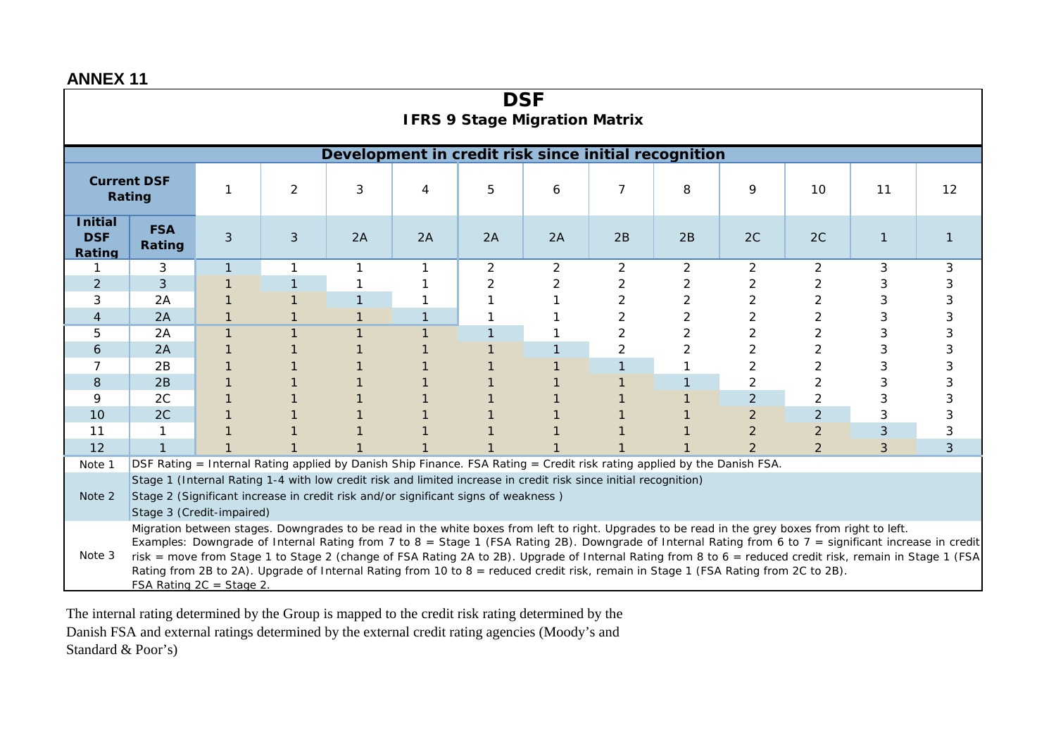| <b>DSF</b><br><b>IFRS 9 Stage Migration Matrix</b>                                                                                                                                                                                                                                                                              |                                                                                                                                   |                           |             |                                                                                                                                                  |    |                |    |                |    |                |                |              |   |
|---------------------------------------------------------------------------------------------------------------------------------------------------------------------------------------------------------------------------------------------------------------------------------------------------------------------------------|-----------------------------------------------------------------------------------------------------------------------------------|---------------------------|-------------|--------------------------------------------------------------------------------------------------------------------------------------------------|----|----------------|----|----------------|----|----------------|----------------|--------------|---|
|                                                                                                                                                                                                                                                                                                                                 |                                                                                                                                   |                           |             | Development in credit risk since initial recognition                                                                                             |    |                |    |                |    |                |                |              |   |
| <b>Current DSF</b><br>$\overline{2}$<br>3<br>$\overline{7}$<br>1<br>5<br>8<br>9<br>10<br>6<br>4<br>Rating                                                                                                                                                                                                                       |                                                                                                                                   |                           |             |                                                                                                                                                  |    | 11             | 12 |                |    |                |                |              |   |
| <b>Initial</b><br><b>DSF</b><br>Rating                                                                                                                                                                                                                                                                                          | <b>FSA</b><br>Rating                                                                                                              | 3                         | 3           | 2A                                                                                                                                               | 2A | 2A             | 2A | 2B             | 2B | 2C             | 2C             | $\mathbf{1}$ |   |
|                                                                                                                                                                                                                                                                                                                                 | 3                                                                                                                                 | $\mathbf{1}$              | $\mathbf 1$ | 1                                                                                                                                                |    | $\overline{2}$ | 2  | $\overline{2}$ | 2  | $\overline{2}$ | 2              | 3            | 3 |
| 2                                                                                                                                                                                                                                                                                                                               | 3                                                                                                                                 |                           |             |                                                                                                                                                  |    | 2              |    | 2              | 2  | 2              | $\overline{2}$ | 3            | 3 |
| 3                                                                                                                                                                                                                                                                                                                               | 2A                                                                                                                                |                           |             |                                                                                                                                                  |    |                |    | 2              | 2  | 2              | $\overline{2}$ |              | 3 |
| 4                                                                                                                                                                                                                                                                                                                               | 2A                                                                                                                                |                           |             |                                                                                                                                                  |    |                |    | 2              | 2  | 2              | $\overline{2}$ |              |   |
| 5                                                                                                                                                                                                                                                                                                                               | 2A                                                                                                                                |                           |             |                                                                                                                                                  |    |                |    | 2              |    | 2              | $\overline{2}$ |              |   |
| 6                                                                                                                                                                                                                                                                                                                               | 2A                                                                                                                                |                           |             |                                                                                                                                                  |    |                |    | $\overline{c}$ |    | 2              | $\overline{2}$ |              |   |
|                                                                                                                                                                                                                                                                                                                                 | 2B                                                                                                                                |                           |             |                                                                                                                                                  |    |                |    |                |    |                | $\overline{2}$ | 3            |   |
| 8                                                                                                                                                                                                                                                                                                                               | 2B                                                                                                                                |                           |             |                                                                                                                                                  |    |                |    |                |    | 2              | $\overline{2}$ |              |   |
| 9                                                                                                                                                                                                                                                                                                                               | 2C                                                                                                                                |                           |             |                                                                                                                                                  |    |                |    |                |    | $\overline{2}$ | $\overline{2}$ | 3            | 3 |
| 10                                                                                                                                                                                                                                                                                                                              | 2C                                                                                                                                |                           |             |                                                                                                                                                  |    |                |    |                |    | $\overline{2}$ | $\overline{2}$ | 3            |   |
| 11                                                                                                                                                                                                                                                                                                                              | 1                                                                                                                                 |                           |             |                                                                                                                                                  |    |                |    |                |    | $\overline{2}$ | $\overline{2}$ | 3            | 3 |
| 12                                                                                                                                                                                                                                                                                                                              | $\mathbf{1}$                                                                                                                      |                           |             |                                                                                                                                                  |    |                |    |                |    | $\mathcal{P}$  | 2              | 3            | 3 |
|                                                                                                                                                                                                                                                                                                                                 | DSF Rating = Internal Rating applied by Danish Ship Finance. FSA Rating = Credit risk rating applied by the Danish FSA.<br>Note 1 |                           |             |                                                                                                                                                  |    |                |    |                |    |                |                |              |   |
|                                                                                                                                                                                                                                                                                                                                 | Stage 1 (Internal Rating 1-4 with low credit risk and limited increase in credit risk since initial recognition)                  |                           |             |                                                                                                                                                  |    |                |    |                |    |                |                |              |   |
|                                                                                                                                                                                                                                                                                                                                 | Stage 2 (Significant increase in credit risk and/or significant signs of weakness)<br>Note 2                                      |                           |             |                                                                                                                                                  |    |                |    |                |    |                |                |              |   |
|                                                                                                                                                                                                                                                                                                                                 |                                                                                                                                   | Stage 3 (Credit-impaired) |             |                                                                                                                                                  |    |                |    |                |    |                |                |              |   |
|                                                                                                                                                                                                                                                                                                                                 |                                                                                                                                   |                           |             | Migration between stages. Downgrades to be read in the white boxes from left to right. Upgrades to be read in the grey boxes from right to left. |    |                |    |                |    |                |                |              |   |
| Examples: Downgrade of Internal Rating from 7 to 8 = Stage 1 (FSA Rating 2B). Downgrade of Internal Rating from 6 to 7 = significant increase in credit<br>Note 3<br>risk = move from Stage 1 to Stage 2 (change of FSA Rating 2A to 2B). Upgrade of Internal Rating from 8 to 6 = reduced credit risk, remain in Stage 1 (FSA) |                                                                                                                                   |                           |             |                                                                                                                                                  |    |                |    |                |    |                |                |              |   |
| Rating from 2B to 2A). Upgrade of Internal Rating from 10 to 8 = reduced credit risk, remain in Stage 1 (FSA Rating from 2C to 2B).                                                                                                                                                                                             |                                                                                                                                   |                           |             |                                                                                                                                                  |    |                |    |                |    |                |                |              |   |
| FSA Rating $2C = Stage 2$ .                                                                                                                                                                                                                                                                                                     |                                                                                                                                   |                           |             |                                                                                                                                                  |    |                |    |                |    |                |                |              |   |

The internal rating determined by the Group is mapped to the credit risk rating determined by the Danish FSA and external ratings determined by the external credit rating agencies (Moody's and Standard & Poor's)